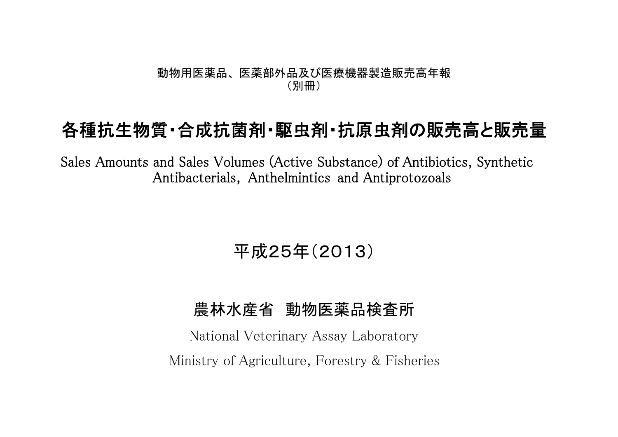#### 動物用医薬品、 医薬部外品及び医療機器製造販売高年報 (別冊)

# 各種抗生物質・合成抗菌剤・駆虫剤・抗原虫剤の販売高と販売量

Sales Amounts and Sales Volumes (Active Substance) of Antibiotics, Synthetic Antibacterials, Anthelmintics and Antiprotozoals

## 平成25年(2013)

### 農林水産省 動物医薬品検査所

National Veterinary Assay Laboratory Ministry of Agriculture, Forestry & Fisheries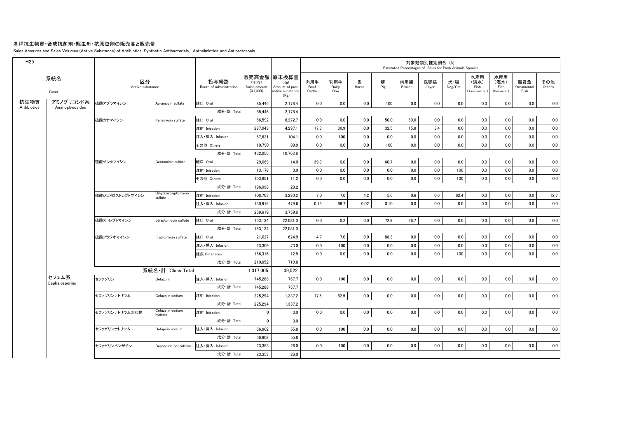#### 各種抗生物質・合成抗菌剤・駆虫剤・抗原虫剤の販売高と販売量

Sales Amounts and Sales Volumes (Active Substance) of Antibiotics, Synthetic Antibacterials, Anthelmintics and Antiprotozoals

| 販売高金額 原末換算量<br>水産用<br>水産用<br>系統名<br>区分<br>投与経路<br>乳用牛<br>馬<br>豚<br>肉用牛<br>肉用鶏<br>採卵鶏<br>犬・猫<br>(海水)<br>観賞魚<br>その他<br>(淡水)<br>(千円)<br>(Kg)<br>Pig<br>Route of administration<br>Dog/Cat<br>Fish<br>Fish<br>Ornamental<br>Others<br>Active substance<br>Sales amount<br>Amount of pure<br>Beef<br>Dairy<br>Horse<br>Broiler<br>Layer<br>(Seawater)<br>$(*1.000)$<br>active substance<br>Cattle<br>Freshwater<br>Fish<br>Class<br>Cow<br>(Kg)<br>抗生物質<br>アミノグリコシド系<br>0.0<br>0.0<br>0.0<br>硫酸アプラマイシン<br>経口 Oral<br>0.0<br>0.0<br>100<br>0.0<br>0.0<br>0.0<br>85,446<br>2,178.4<br>0.0<br>0.0<br>Apramycin sulfate<br>Antibiotics<br>Aminoglycosides<br>成分·計 Total<br>85,446<br>2,178.4<br>経口 Oral<br>0.0<br>硫酸カナマイシン<br>66,592<br>6,272.7<br>0.0<br>0.0<br>0.0<br>50.0<br>50.0<br>0.0<br>0.0<br>0.0<br>0.0<br>0.0<br>Kanamycin sulfate<br>287,043<br>4.297.1<br>17.3<br>30.9<br>0.0<br>32.5<br>15.8<br>0.0<br>0.0<br>0.0<br>0.0<br>0.0<br>3.4<br>注射 Injection<br>100<br>0.0<br>0.0<br>0.0<br>注入·挿入 Infusion<br>67,631<br>104.1<br>0.0<br>0.0<br>0.0<br>0.0<br>0.0<br>0.0<br>0.0<br>その他 Others<br>10,790<br>89.9<br>0.0<br>0.0<br>0.0<br>100<br>0.0<br>0.0<br>0.0<br>0.0<br>0.0<br>0.0<br>0.0<br>成分·計 Total<br>432,056<br>10,763.8<br>0.0<br>60.7<br>0.0<br>0.0<br>硫酸ゲンタマイシン<br>経口 Oral<br>29.069<br>39.3<br>0.0<br>0.0<br>0.0<br>0.0<br>0.0<br>0.0<br>Gentamicin sulfate<br>14.0<br>0.0<br>$0.0\,$<br>13,178<br>3.0<br>0.0<br>0.0<br>0.0<br>0.0<br>0.0<br>100<br>0.0<br>0.0<br>注射 Injection<br>0.0<br>153,851<br>11.2<br>0.0<br>0.0<br>0.0<br>0.0<br>0.0<br>0.0<br>100<br>0.0<br>0.0<br>0.0<br>0.0<br>その他 Others<br>成分·計 Total<br>196.098<br>28.2<br>Dihydrostreptomycin<br>3.280.2<br>7.0<br>7.0<br>4.2<br>5.6<br>0.6<br>0.6<br>62.4<br>0.0<br>0.0<br>0.0<br>12.7<br>硫酸ジヒドロストレプトマイシン<br>108.703<br>注射 Injection<br>sulfate<br>注入·挿入 Infusion<br>99.7<br>0.02<br>0.0<br>$0.0\,$<br>0.0<br>130,916<br>479.6<br>0.13<br>0.10<br>0.0<br>0.0<br>0.0<br>0.0<br>成分 計 Total<br>239,619<br>3,759.8<br>硫酸ストレプトマイシン<br>経口 Oral<br>0.2<br>0.0<br>72.9<br>26.7<br>$0.0\,$<br>0.0<br>0.0<br>$0.0\,$<br>0.0<br>153,134<br>22,081.0<br>0.0<br>0.0<br>Streptomycin sulfate<br>成分·計 Total<br>153.134<br>22.081.0<br>硫酸フラジオマイシン<br>経口 Oral<br>21,027<br>624.9<br>4.7<br>7.0<br>0.0<br>88.3<br>0.0<br>0.0<br>0.0<br>0.0<br>0.0<br>Fradiomycin sulfate<br>0.0<br>0.0<br>注入·挿入 Infusion<br>0.0<br>23,309<br>73.0<br>0.0<br>100<br>0.0<br>0.0<br>0.0<br>0.0<br>0.0<br>0.0<br>0.0<br>0.0<br>0.0<br>166.316<br>12.9<br>0.0<br>0.0<br>0.0<br>0.0<br>0.0<br>0.0<br>100<br>0.0<br>0.0<br>0.0<br>経皮 Cutaneous<br>成分·計 Total<br>210,652<br>710.8<br>系統名・計 Class Total<br>1,317,005<br>39,522<br>セフェム系<br>セファゾリン<br>注入·挿入 Infusion<br>100<br>0.0<br>0.0<br>0.0<br>0.0<br>0.0<br>0.0<br>0.0<br>0.0<br>745.288<br>757.7<br>0.0<br>0.0<br>Cefazolin<br>Cephalosporins<br>成分 計 Total<br>745.288<br>757.7<br>0.0<br>225.294<br>17.5<br>82.5<br>0.0<br>0.0<br>0.0<br>0.0<br>0.0<br>0.0<br>1.337.2<br>0.0<br>0.0<br>セファゾリンナトリウム<br>注射 Injection<br>Cefazolin sodium<br>成分 計 Total<br>225.294<br>1,337.2<br>Cefazolin sodium<br>$\mathbf 0$<br>0.0<br>0.0<br>0.0<br>0.0<br>0.0<br>$0.0\,$<br>0.0<br>0.0<br>0.0<br>0.0<br>0.0<br>0.0<br>セファゾリンナトリウム水和物<br>注射 Injection<br>hydrate<br>成分·計 Total<br>$\mathbf{0}$<br>0.0<br>0.0<br>注入·挿入 Infusion<br>56.902<br>0.0<br>100<br>0.0<br>0.0<br>0.0<br>0.0<br>0.0<br>0.0<br>0.0<br>セファピリンナトリウム<br>Cefapirin sodium<br>55.8<br>0.0<br>成分 計 Total<br>56,902<br>55.8<br>セファピリンベンザチン<br>注入·挿入 Infusion<br>26.0<br>0.0<br>100<br>0.0<br>0.0<br>0.0<br>0.0<br>0.0<br>0.0<br>0.0<br>0.0<br>Cephapirin benzathine<br>23,353<br>0.0<br>26.0<br>成分·計 Total<br>23,353 | H <sub>25</sub> |  |  |  |  |  | Estimated Percentages of Sales for Each Animals Species | 対象動物別推定割合 (%) |  |  |  |
|-----------------------------------------------------------------------------------------------------------------------------------------------------------------------------------------------------------------------------------------------------------------------------------------------------------------------------------------------------------------------------------------------------------------------------------------------------------------------------------------------------------------------------------------------------------------------------------------------------------------------------------------------------------------------------------------------------------------------------------------------------------------------------------------------------------------------------------------------------------------------------------------------------------------------------------------------------------------------------------------------------------------------------------------------------------------------------------------------------------------------------------------------------------------------------------------------------------------------------------------------------------------------------------------------------------------------------------------------------------------------------------------------------------------------------------------------------------------------------------------------------------------------------------------------------------------------------------------------------------------------------------------------------------------------------------------------------------------------------------------------------------------------------------------------------------------------------------------------------------------------------------------------------------------------------------------------------------------------------------------------------------------------------------------------------------------------------------------------------------------------------------------------------------------------------------------------------------------------------------------------------------------------------------------------------------------------------------------------------------------------------------------------------------------------------------------------------------------------------------------------------------------------------------------------------------------------------------------------------------------------------------------------------------------------------------------------------------------------------------------------------------------------------------------------------------------------------------------------------------------------------------------------------------------------------------------------------------------------------------------------------------------------------------------------------------------------------------------------------------------------------------------------------------------------------------------------------------------------------------------------------------------------------------------------------------------------------------------------------------------------------------------------------------------------------------------------------------------------------------------------------------------------------------------------------------------------------------------------------------------------------------------------------------|-----------------|--|--|--|--|--|---------------------------------------------------------|---------------|--|--|--|
|                                                                                                                                                                                                                                                                                                                                                                                                                                                                                                                                                                                                                                                                                                                                                                                                                                                                                                                                                                                                                                                                                                                                                                                                                                                                                                                                                                                                                                                                                                                                                                                                                                                                                                                                                                                                                                                                                                                                                                                                                                                                                                                                                                                                                                                                                                                                                                                                                                                                                                                                                                                                                                                                                                                                                                                                                                                                                                                                                                                                                                                                                                                                                                                                                                                                                                                                                                                                                                                                                                                                                                                                                                                           |                 |  |  |  |  |  |                                                         |               |  |  |  |
|                                                                                                                                                                                                                                                                                                                                                                                                                                                                                                                                                                                                                                                                                                                                                                                                                                                                                                                                                                                                                                                                                                                                                                                                                                                                                                                                                                                                                                                                                                                                                                                                                                                                                                                                                                                                                                                                                                                                                                                                                                                                                                                                                                                                                                                                                                                                                                                                                                                                                                                                                                                                                                                                                                                                                                                                                                                                                                                                                                                                                                                                                                                                                                                                                                                                                                                                                                                                                                                                                                                                                                                                                                                           |                 |  |  |  |  |  |                                                         |               |  |  |  |
|                                                                                                                                                                                                                                                                                                                                                                                                                                                                                                                                                                                                                                                                                                                                                                                                                                                                                                                                                                                                                                                                                                                                                                                                                                                                                                                                                                                                                                                                                                                                                                                                                                                                                                                                                                                                                                                                                                                                                                                                                                                                                                                                                                                                                                                                                                                                                                                                                                                                                                                                                                                                                                                                                                                                                                                                                                                                                                                                                                                                                                                                                                                                                                                                                                                                                                                                                                                                                                                                                                                                                                                                                                                           |                 |  |  |  |  |  |                                                         |               |  |  |  |
|                                                                                                                                                                                                                                                                                                                                                                                                                                                                                                                                                                                                                                                                                                                                                                                                                                                                                                                                                                                                                                                                                                                                                                                                                                                                                                                                                                                                                                                                                                                                                                                                                                                                                                                                                                                                                                                                                                                                                                                                                                                                                                                                                                                                                                                                                                                                                                                                                                                                                                                                                                                                                                                                                                                                                                                                                                                                                                                                                                                                                                                                                                                                                                                                                                                                                                                                                                                                                                                                                                                                                                                                                                                           |                 |  |  |  |  |  |                                                         |               |  |  |  |
|                                                                                                                                                                                                                                                                                                                                                                                                                                                                                                                                                                                                                                                                                                                                                                                                                                                                                                                                                                                                                                                                                                                                                                                                                                                                                                                                                                                                                                                                                                                                                                                                                                                                                                                                                                                                                                                                                                                                                                                                                                                                                                                                                                                                                                                                                                                                                                                                                                                                                                                                                                                                                                                                                                                                                                                                                                                                                                                                                                                                                                                                                                                                                                                                                                                                                                                                                                                                                                                                                                                                                                                                                                                           |                 |  |  |  |  |  |                                                         |               |  |  |  |
|                                                                                                                                                                                                                                                                                                                                                                                                                                                                                                                                                                                                                                                                                                                                                                                                                                                                                                                                                                                                                                                                                                                                                                                                                                                                                                                                                                                                                                                                                                                                                                                                                                                                                                                                                                                                                                                                                                                                                                                                                                                                                                                                                                                                                                                                                                                                                                                                                                                                                                                                                                                                                                                                                                                                                                                                                                                                                                                                                                                                                                                                                                                                                                                                                                                                                                                                                                                                                                                                                                                                                                                                                                                           |                 |  |  |  |  |  |                                                         |               |  |  |  |
|                                                                                                                                                                                                                                                                                                                                                                                                                                                                                                                                                                                                                                                                                                                                                                                                                                                                                                                                                                                                                                                                                                                                                                                                                                                                                                                                                                                                                                                                                                                                                                                                                                                                                                                                                                                                                                                                                                                                                                                                                                                                                                                                                                                                                                                                                                                                                                                                                                                                                                                                                                                                                                                                                                                                                                                                                                                                                                                                                                                                                                                                                                                                                                                                                                                                                                                                                                                                                                                                                                                                                                                                                                                           |                 |  |  |  |  |  |                                                         |               |  |  |  |
|                                                                                                                                                                                                                                                                                                                                                                                                                                                                                                                                                                                                                                                                                                                                                                                                                                                                                                                                                                                                                                                                                                                                                                                                                                                                                                                                                                                                                                                                                                                                                                                                                                                                                                                                                                                                                                                                                                                                                                                                                                                                                                                                                                                                                                                                                                                                                                                                                                                                                                                                                                                                                                                                                                                                                                                                                                                                                                                                                                                                                                                                                                                                                                                                                                                                                                                                                                                                                                                                                                                                                                                                                                                           |                 |  |  |  |  |  |                                                         |               |  |  |  |
|                                                                                                                                                                                                                                                                                                                                                                                                                                                                                                                                                                                                                                                                                                                                                                                                                                                                                                                                                                                                                                                                                                                                                                                                                                                                                                                                                                                                                                                                                                                                                                                                                                                                                                                                                                                                                                                                                                                                                                                                                                                                                                                                                                                                                                                                                                                                                                                                                                                                                                                                                                                                                                                                                                                                                                                                                                                                                                                                                                                                                                                                                                                                                                                                                                                                                                                                                                                                                                                                                                                                                                                                                                                           |                 |  |  |  |  |  |                                                         |               |  |  |  |
|                                                                                                                                                                                                                                                                                                                                                                                                                                                                                                                                                                                                                                                                                                                                                                                                                                                                                                                                                                                                                                                                                                                                                                                                                                                                                                                                                                                                                                                                                                                                                                                                                                                                                                                                                                                                                                                                                                                                                                                                                                                                                                                                                                                                                                                                                                                                                                                                                                                                                                                                                                                                                                                                                                                                                                                                                                                                                                                                                                                                                                                                                                                                                                                                                                                                                                                                                                                                                                                                                                                                                                                                                                                           |                 |  |  |  |  |  |                                                         |               |  |  |  |
|                                                                                                                                                                                                                                                                                                                                                                                                                                                                                                                                                                                                                                                                                                                                                                                                                                                                                                                                                                                                                                                                                                                                                                                                                                                                                                                                                                                                                                                                                                                                                                                                                                                                                                                                                                                                                                                                                                                                                                                                                                                                                                                                                                                                                                                                                                                                                                                                                                                                                                                                                                                                                                                                                                                                                                                                                                                                                                                                                                                                                                                                                                                                                                                                                                                                                                                                                                                                                                                                                                                                                                                                                                                           |                 |  |  |  |  |  |                                                         |               |  |  |  |
|                                                                                                                                                                                                                                                                                                                                                                                                                                                                                                                                                                                                                                                                                                                                                                                                                                                                                                                                                                                                                                                                                                                                                                                                                                                                                                                                                                                                                                                                                                                                                                                                                                                                                                                                                                                                                                                                                                                                                                                                                                                                                                                                                                                                                                                                                                                                                                                                                                                                                                                                                                                                                                                                                                                                                                                                                                                                                                                                                                                                                                                                                                                                                                                                                                                                                                                                                                                                                                                                                                                                                                                                                                                           |                 |  |  |  |  |  |                                                         |               |  |  |  |
|                                                                                                                                                                                                                                                                                                                                                                                                                                                                                                                                                                                                                                                                                                                                                                                                                                                                                                                                                                                                                                                                                                                                                                                                                                                                                                                                                                                                                                                                                                                                                                                                                                                                                                                                                                                                                                                                                                                                                                                                                                                                                                                                                                                                                                                                                                                                                                                                                                                                                                                                                                                                                                                                                                                                                                                                                                                                                                                                                                                                                                                                                                                                                                                                                                                                                                                                                                                                                                                                                                                                                                                                                                                           |                 |  |  |  |  |  |                                                         |               |  |  |  |
|                                                                                                                                                                                                                                                                                                                                                                                                                                                                                                                                                                                                                                                                                                                                                                                                                                                                                                                                                                                                                                                                                                                                                                                                                                                                                                                                                                                                                                                                                                                                                                                                                                                                                                                                                                                                                                                                                                                                                                                                                                                                                                                                                                                                                                                                                                                                                                                                                                                                                                                                                                                                                                                                                                                                                                                                                                                                                                                                                                                                                                                                                                                                                                                                                                                                                                                                                                                                                                                                                                                                                                                                                                                           |                 |  |  |  |  |  |                                                         |               |  |  |  |
|                                                                                                                                                                                                                                                                                                                                                                                                                                                                                                                                                                                                                                                                                                                                                                                                                                                                                                                                                                                                                                                                                                                                                                                                                                                                                                                                                                                                                                                                                                                                                                                                                                                                                                                                                                                                                                                                                                                                                                                                                                                                                                                                                                                                                                                                                                                                                                                                                                                                                                                                                                                                                                                                                                                                                                                                                                                                                                                                                                                                                                                                                                                                                                                                                                                                                                                                                                                                                                                                                                                                                                                                                                                           |                 |  |  |  |  |  |                                                         |               |  |  |  |
|                                                                                                                                                                                                                                                                                                                                                                                                                                                                                                                                                                                                                                                                                                                                                                                                                                                                                                                                                                                                                                                                                                                                                                                                                                                                                                                                                                                                                                                                                                                                                                                                                                                                                                                                                                                                                                                                                                                                                                                                                                                                                                                                                                                                                                                                                                                                                                                                                                                                                                                                                                                                                                                                                                                                                                                                                                                                                                                                                                                                                                                                                                                                                                                                                                                                                                                                                                                                                                                                                                                                                                                                                                                           |                 |  |  |  |  |  |                                                         |               |  |  |  |
|                                                                                                                                                                                                                                                                                                                                                                                                                                                                                                                                                                                                                                                                                                                                                                                                                                                                                                                                                                                                                                                                                                                                                                                                                                                                                                                                                                                                                                                                                                                                                                                                                                                                                                                                                                                                                                                                                                                                                                                                                                                                                                                                                                                                                                                                                                                                                                                                                                                                                                                                                                                                                                                                                                                                                                                                                                                                                                                                                                                                                                                                                                                                                                                                                                                                                                                                                                                                                                                                                                                                                                                                                                                           |                 |  |  |  |  |  |                                                         |               |  |  |  |
|                                                                                                                                                                                                                                                                                                                                                                                                                                                                                                                                                                                                                                                                                                                                                                                                                                                                                                                                                                                                                                                                                                                                                                                                                                                                                                                                                                                                                                                                                                                                                                                                                                                                                                                                                                                                                                                                                                                                                                                                                                                                                                                                                                                                                                                                                                                                                                                                                                                                                                                                                                                                                                                                                                                                                                                                                                                                                                                                                                                                                                                                                                                                                                                                                                                                                                                                                                                                                                                                                                                                                                                                                                                           |                 |  |  |  |  |  |                                                         |               |  |  |  |
|                                                                                                                                                                                                                                                                                                                                                                                                                                                                                                                                                                                                                                                                                                                                                                                                                                                                                                                                                                                                                                                                                                                                                                                                                                                                                                                                                                                                                                                                                                                                                                                                                                                                                                                                                                                                                                                                                                                                                                                                                                                                                                                                                                                                                                                                                                                                                                                                                                                                                                                                                                                                                                                                                                                                                                                                                                                                                                                                                                                                                                                                                                                                                                                                                                                                                                                                                                                                                                                                                                                                                                                                                                                           |                 |  |  |  |  |  |                                                         |               |  |  |  |
|                                                                                                                                                                                                                                                                                                                                                                                                                                                                                                                                                                                                                                                                                                                                                                                                                                                                                                                                                                                                                                                                                                                                                                                                                                                                                                                                                                                                                                                                                                                                                                                                                                                                                                                                                                                                                                                                                                                                                                                                                                                                                                                                                                                                                                                                                                                                                                                                                                                                                                                                                                                                                                                                                                                                                                                                                                                                                                                                                                                                                                                                                                                                                                                                                                                                                                                                                                                                                                                                                                                                                                                                                                                           |                 |  |  |  |  |  |                                                         |               |  |  |  |
|                                                                                                                                                                                                                                                                                                                                                                                                                                                                                                                                                                                                                                                                                                                                                                                                                                                                                                                                                                                                                                                                                                                                                                                                                                                                                                                                                                                                                                                                                                                                                                                                                                                                                                                                                                                                                                                                                                                                                                                                                                                                                                                                                                                                                                                                                                                                                                                                                                                                                                                                                                                                                                                                                                                                                                                                                                                                                                                                                                                                                                                                                                                                                                                                                                                                                                                                                                                                                                                                                                                                                                                                                                                           |                 |  |  |  |  |  |                                                         |               |  |  |  |
|                                                                                                                                                                                                                                                                                                                                                                                                                                                                                                                                                                                                                                                                                                                                                                                                                                                                                                                                                                                                                                                                                                                                                                                                                                                                                                                                                                                                                                                                                                                                                                                                                                                                                                                                                                                                                                                                                                                                                                                                                                                                                                                                                                                                                                                                                                                                                                                                                                                                                                                                                                                                                                                                                                                                                                                                                                                                                                                                                                                                                                                                                                                                                                                                                                                                                                                                                                                                                                                                                                                                                                                                                                                           |                 |  |  |  |  |  |                                                         |               |  |  |  |
|                                                                                                                                                                                                                                                                                                                                                                                                                                                                                                                                                                                                                                                                                                                                                                                                                                                                                                                                                                                                                                                                                                                                                                                                                                                                                                                                                                                                                                                                                                                                                                                                                                                                                                                                                                                                                                                                                                                                                                                                                                                                                                                                                                                                                                                                                                                                                                                                                                                                                                                                                                                                                                                                                                                                                                                                                                                                                                                                                                                                                                                                                                                                                                                                                                                                                                                                                                                                                                                                                                                                                                                                                                                           |                 |  |  |  |  |  |                                                         |               |  |  |  |
|                                                                                                                                                                                                                                                                                                                                                                                                                                                                                                                                                                                                                                                                                                                                                                                                                                                                                                                                                                                                                                                                                                                                                                                                                                                                                                                                                                                                                                                                                                                                                                                                                                                                                                                                                                                                                                                                                                                                                                                                                                                                                                                                                                                                                                                                                                                                                                                                                                                                                                                                                                                                                                                                                                                                                                                                                                                                                                                                                                                                                                                                                                                                                                                                                                                                                                                                                                                                                                                                                                                                                                                                                                                           |                 |  |  |  |  |  |                                                         |               |  |  |  |
|                                                                                                                                                                                                                                                                                                                                                                                                                                                                                                                                                                                                                                                                                                                                                                                                                                                                                                                                                                                                                                                                                                                                                                                                                                                                                                                                                                                                                                                                                                                                                                                                                                                                                                                                                                                                                                                                                                                                                                                                                                                                                                                                                                                                                                                                                                                                                                                                                                                                                                                                                                                                                                                                                                                                                                                                                                                                                                                                                                                                                                                                                                                                                                                                                                                                                                                                                                                                                                                                                                                                                                                                                                                           |                 |  |  |  |  |  |                                                         |               |  |  |  |
|                                                                                                                                                                                                                                                                                                                                                                                                                                                                                                                                                                                                                                                                                                                                                                                                                                                                                                                                                                                                                                                                                                                                                                                                                                                                                                                                                                                                                                                                                                                                                                                                                                                                                                                                                                                                                                                                                                                                                                                                                                                                                                                                                                                                                                                                                                                                                                                                                                                                                                                                                                                                                                                                                                                                                                                                                                                                                                                                                                                                                                                                                                                                                                                                                                                                                                                                                                                                                                                                                                                                                                                                                                                           |                 |  |  |  |  |  |                                                         |               |  |  |  |
|                                                                                                                                                                                                                                                                                                                                                                                                                                                                                                                                                                                                                                                                                                                                                                                                                                                                                                                                                                                                                                                                                                                                                                                                                                                                                                                                                                                                                                                                                                                                                                                                                                                                                                                                                                                                                                                                                                                                                                                                                                                                                                                                                                                                                                                                                                                                                                                                                                                                                                                                                                                                                                                                                                                                                                                                                                                                                                                                                                                                                                                                                                                                                                                                                                                                                                                                                                                                                                                                                                                                                                                                                                                           |                 |  |  |  |  |  |                                                         |               |  |  |  |
|                                                                                                                                                                                                                                                                                                                                                                                                                                                                                                                                                                                                                                                                                                                                                                                                                                                                                                                                                                                                                                                                                                                                                                                                                                                                                                                                                                                                                                                                                                                                                                                                                                                                                                                                                                                                                                                                                                                                                                                                                                                                                                                                                                                                                                                                                                                                                                                                                                                                                                                                                                                                                                                                                                                                                                                                                                                                                                                                                                                                                                                                                                                                                                                                                                                                                                                                                                                                                                                                                                                                                                                                                                                           |                 |  |  |  |  |  |                                                         |               |  |  |  |
|                                                                                                                                                                                                                                                                                                                                                                                                                                                                                                                                                                                                                                                                                                                                                                                                                                                                                                                                                                                                                                                                                                                                                                                                                                                                                                                                                                                                                                                                                                                                                                                                                                                                                                                                                                                                                                                                                                                                                                                                                                                                                                                                                                                                                                                                                                                                                                                                                                                                                                                                                                                                                                                                                                                                                                                                                                                                                                                                                                                                                                                                                                                                                                                                                                                                                                                                                                                                                                                                                                                                                                                                                                                           |                 |  |  |  |  |  |                                                         |               |  |  |  |
|                                                                                                                                                                                                                                                                                                                                                                                                                                                                                                                                                                                                                                                                                                                                                                                                                                                                                                                                                                                                                                                                                                                                                                                                                                                                                                                                                                                                                                                                                                                                                                                                                                                                                                                                                                                                                                                                                                                                                                                                                                                                                                                                                                                                                                                                                                                                                                                                                                                                                                                                                                                                                                                                                                                                                                                                                                                                                                                                                                                                                                                                                                                                                                                                                                                                                                                                                                                                                                                                                                                                                                                                                                                           |                 |  |  |  |  |  |                                                         |               |  |  |  |
|                                                                                                                                                                                                                                                                                                                                                                                                                                                                                                                                                                                                                                                                                                                                                                                                                                                                                                                                                                                                                                                                                                                                                                                                                                                                                                                                                                                                                                                                                                                                                                                                                                                                                                                                                                                                                                                                                                                                                                                                                                                                                                                                                                                                                                                                                                                                                                                                                                                                                                                                                                                                                                                                                                                                                                                                                                                                                                                                                                                                                                                                                                                                                                                                                                                                                                                                                                                                                                                                                                                                                                                                                                                           |                 |  |  |  |  |  |                                                         |               |  |  |  |
|                                                                                                                                                                                                                                                                                                                                                                                                                                                                                                                                                                                                                                                                                                                                                                                                                                                                                                                                                                                                                                                                                                                                                                                                                                                                                                                                                                                                                                                                                                                                                                                                                                                                                                                                                                                                                                                                                                                                                                                                                                                                                                                                                                                                                                                                                                                                                                                                                                                                                                                                                                                                                                                                                                                                                                                                                                                                                                                                                                                                                                                                                                                                                                                                                                                                                                                                                                                                                                                                                                                                                                                                                                                           |                 |  |  |  |  |  |                                                         |               |  |  |  |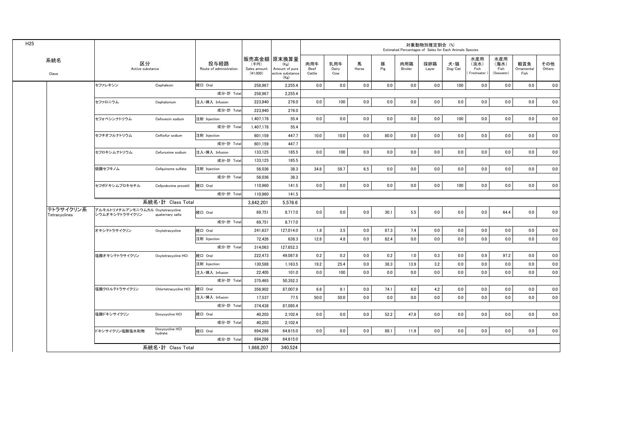| H <sub>25</sub> |                            |                                                     |                            |                                 |                                    |                                                                   |                       |                     |            |          |                | 対象動物別推定割合 (%)<br>Estimated Percentages of Sales for Each Animals Species |                |                                   |                                   |                           |               |
|-----------------|----------------------------|-----------------------------------------------------|----------------------------|---------------------------------|------------------------------------|-------------------------------------------------------------------|-----------------------|---------------------|------------|----------|----------------|--------------------------------------------------------------------------|----------------|-----------------------------------|-----------------------------------|---------------------------|---------------|
|                 | 系統名<br>Class               | 区分<br>Active substance                              |                            | 投与経路<br>Route of administration | (千円)<br>Sales amount<br>$(*1,000)$ | 販売高金額 原末換算量<br>(Kg)<br>Amount of pure<br>active substance<br>(Kg) | 肉用牛<br>Beef<br>Cattle | 乳用牛<br>Dairy<br>Cow | 馬<br>Horse | 豚<br>Pig | 肉用鶏<br>Broiler | 採卵鶏<br>Layer                                                             | 犬·猫<br>Dog/Cat | 水産用<br>(淡水)<br>Fish<br>Freshwater | 水産用<br>(海水)<br>Fish<br>(Seawater) | 観賞魚<br>Ornamental<br>Fish | その他<br>Others |
|                 |                            | セファレキシン                                             | Cephalexin                 | 経口 Oral                         | 258.967                            | 2,255.4                                                           | 0.0                   | 0.0                 | 0.0        | 0.0      | 0.0            | 0.0                                                                      | 100            | 0.0                               | 0.0                               | 0.0                       | 0.0           |
|                 |                            |                                                     |                            | 成分·計 Total                      | 258,967                            | 2,255.4                                                           |                       |                     |            |          |                |                                                                          |                |                                   |                                   |                           |               |
|                 |                            | セファロニウム                                             | Cephalonium                | 注入·挿入 Infusion                  | 223.940                            | 276.0                                                             | 0.0                   | 100                 | 0.0        | 0.0      | 0.0            | 0.0                                                                      | 0.0            | 0.0                               | 0.0                               | 0.0                       | 0.0           |
|                 |                            |                                                     |                            | 成分·計 Total                      | 223,940                            | 276.0                                                             |                       |                     |            |          |                |                                                                          |                |                                   |                                   |                           |               |
|                 |                            | セフォベシンナトリウム                                         | Cefovecin sodium           | 注射 Injection                    | 1,407.178                          | 55.4                                                              | 0.0                   | 0.0                 | 0.0        | 0.0      | 0.0            | 0.0                                                                      | 100            | 0.0                               | 0.0                               | 0.0                       | 0.0           |
|                 |                            |                                                     |                            | 成分·計 Total                      | 1,407,178                          | 55.4                                                              |                       |                     |            |          |                |                                                                          |                |                                   |                                   |                           |               |
|                 |                            | セフチオフルナトリウム                                         | Ceftiofur sodium           | 注射 Injection                    | 601.159                            | 447.7                                                             | 10.0                  | 10.0                | 0.0        | 80.0     | 0.0            | 0.0                                                                      | 0.0            | 0.0                               | 0.0                               | 0.0                       | 0.0           |
|                 |                            |                                                     |                            | 成分·計 Total                      | 601.159                            | 447.7                                                             |                       |                     |            |          |                |                                                                          |                |                                   |                                   |                           |               |
|                 |                            | セフロキシムナトリウム                                         | Cefuroxime sodium          | 注入·挿入 Infusion                  | 133,125                            | 185.5                                                             | 0.0                   | 100                 | 0.0        | 0.0      | 0.0            | 0.0                                                                      | 0.0            | 0.0                               | 0.0                               | 0.0                       | 0.0           |
|                 |                            |                                                     |                            | 成分·計 Total                      | 133.125                            | 185.5                                                             |                       |                     |            |          |                |                                                                          |                |                                   |                                   |                           |               |
|                 |                            | 硫酸セフキノム                                             | Cefquinome sulfate         | 注射 Injection                    | 56,036                             | 38.3                                                              | 34.8                  | 58.7                | 6.5        | 0.0      | 0.0            | 0.0                                                                      | 0.0            | 0.0                               | 0.0                               | 0.0                       | 0.0           |
|                 |                            |                                                     |                            | 成分·計 Total                      | 56.036                             | 38.3                                                              |                       |                     |            |          |                |                                                                          |                |                                   |                                   |                           |               |
|                 |                            | セフポドキシムプロキセチル                                       | Cefpodoxime proxetil       | 経口 Oral                         | 110,960                            | 141.5                                                             | 0.0                   | 0.0                 | 0.0        | 0.0      | 0.0            | 0.0                                                                      | 100            | 0.0                               | 0.0                               | 0.0                       | 0.0           |
|                 |                            |                                                     |                            | 成分·計 Total                      | 110.960                            | 141.5                                                             |                       |                     |            |          |                |                                                                          |                |                                   |                                   |                           |               |
|                 |                            |                                                     | 系統名・計 Class Total          |                                 | 3.842.201                          | 5.576.6                                                           |                       |                     |            |          |                |                                                                          |                |                                   |                                   |                           |               |
|                 | テトラサイクリン系<br>Tetracyclines | アルキルトリメチルアンモニウムカル Oxytetracycline<br>シウムオキシテトラサイクリン | quaternary salts           | 経口 Oral                         | 69.751                             | 8.717.0                                                           | 0.0                   | 0.0                 | 0.0        | 30.1     | $5.5\,$        | 0.0                                                                      | 0.0            | 0.0                               | 64.4                              | 0.0                       | 0.0           |
|                 |                            |                                                     |                            | 成分·計 Total                      | 69,751                             | 8,717.0                                                           |                       |                     |            |          |                |                                                                          |                |                                   |                                   |                           |               |
|                 |                            | オキシテトラサイクリン                                         | Oxytetracycline            | 経口 Oral                         | 241,637                            | 127,014.0                                                         | 1.8                   | 3.5                 | 0.0        | 87.3     | 7.4            | 0.0                                                                      | 0.0            | 0.0                               | 0.0                               | 0.0                       | 0.0           |
|                 |                            |                                                     |                            | 注射 Injection                    | 72,426                             | 638.3                                                             | 12.8                  | 4.8                 | 0.0        | 82.4     | 0.0            | 0.0                                                                      | 0.0            | 0.0                               | 0.0                               | 0.0                       | 0.0           |
|                 |                            |                                                     |                            | 成分·計 Total                      | 314,063                            | 127,652.3                                                         |                       |                     |            |          |                |                                                                          |                |                                   |                                   |                           |               |
|                 |                            | 塩酸オキシテトラサイクリン                                       | Oxytetracycline HCI        | 経口 Oral                         | 222,473                            | 49,087.8                                                          | 0.2                   | 0.2                 | 0.0        | 0.2      | 1.0            | 0.3                                                                      | 0.0            | 0.9                               | 97.2                              | 0.0                       | 0.0           |
|                 |                            |                                                     |                            | 注射 Injection                    | 130.588                            | 1,163.5                                                           | 19.2                  | 25.4                | 0.0        | 38.3     | 13.9           | 3.2                                                                      | 0.0            | 0.0                               | 0.0                               | 0.0                       | 0.0           |
|                 |                            |                                                     |                            | 注入·挿入 Infusion                  | 22.405                             | 101.0                                                             | 0.0                   | 100                 | 0.0        | 0.0      | 0.0            | 0.0                                                                      | 0.0            | 0.0                               | 0.0                               | 0.0                       | 0.0           |
|                 |                            |                                                     |                            | 成分·計 Total                      | 375,465                            | 50,352.3                                                          |                       |                     |            |          |                |                                                                          |                |                                   |                                   |                           |               |
|                 |                            | 塩酸クロルテトラサイクリン                                       | Chlortetracycline HCI      | 経口 Oral                         | 356.902                            | 87,007.9                                                          | 6.6                   | 9.1                 | 0.0        | 74.1     | 6.0            | 4.2                                                                      | 0.0            | 0.0                               | 0.0                               | 0.0                       | 0.0           |
|                 |                            |                                                     |                            | 注入·挿入 Infusion                  | 17,537                             | 77.5                                                              | 50.0                  | 50.0                | 0.0        | 0.0      | 0.0            | 0.0                                                                      | 0.0            | 0.0                               | 0.0                               | 0.0                       | 0.0           |
|                 |                            |                                                     |                            | 成分·計 Total                      | 374.438                            | 87,085.4                                                          |                       |                     |            |          |                |                                                                          |                |                                   |                                   |                           |               |
|                 |                            | 塩酸ドキシサイクリン                                          | Doxycycline HCI            | 経口 Oral                         | 40,203                             | 2,102.4                                                           | 0.0                   | 0.0                 | 0.0        | 52.2     | 47.8           | 0.0                                                                      | 0.0            | 0.0                               | 0.0                               | 0.0                       | 0.0           |
|                 |                            |                                                     |                            | 成分·計 Total                      | 40.203                             | 2.102.4                                                           |                       |                     |            |          |                |                                                                          |                |                                   |                                   |                           |               |
|                 |                            | ドキシサイクリン塩酸塩水和物                                      | Doxycycline HCI<br>hydrate | 経口 Oral                         | 694,286                            | 64,615.0                                                          | 0.0                   | 0.0                 | 0.0        | 88.1     | 11.9           | 0.0                                                                      | 0.0            | 0.0                               | 0.0                               | 0.0                       | 0.0           |
|                 |                            |                                                     | 成分·計 Total                 |                                 |                                    | 64,615.0                                                          |                       |                     |            |          |                |                                                                          |                |                                   |                                   |                           |               |
|                 |                            | 系統名・計 Class Total                                   | 1.868.207                  | 340.524                         |                                    |                                                                   |                       |                     |            |          |                |                                                                          |                |                                   |                                   |                           |               |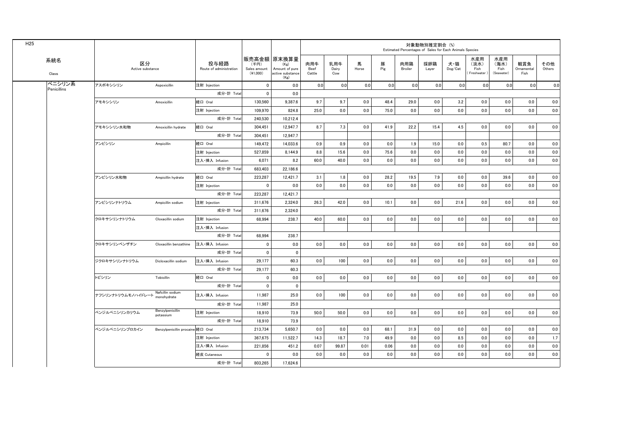| H <sub>25</sub> | 系統名         |                        |                                   |                                 |                                    |                                                                   |                       |                     |            |          | Estimated Percentages of Sales for Each Animals Species | 対象動物別推定割合 (%) |               |                                     |                                   |                           |               |
|-----------------|-------------|------------------------|-----------------------------------|---------------------------------|------------------------------------|-------------------------------------------------------------------|-----------------------|---------------------|------------|----------|---------------------------------------------------------|---------------|---------------|-------------------------------------|-----------------------------------|---------------------------|---------------|
|                 | Class       | 区分<br>Active substance |                                   | 投与経路<br>Route of administration | (千円)<br>Sales amount<br>$(*1,000)$ | 販売高金額 原末換算量<br>(Kg)<br>Amount of pure<br>active substance<br>(Kg) | 肉用牛<br>Beef<br>Cattle | 乳用牛<br>Dairy<br>Cow | 馬<br>Horse | 豚<br>Pig | 肉用鶏<br>Broiler                                          | 採卵鶏<br>Layer  | 犬猫<br>Dog/Cat | 水産用<br>(淡水)<br>Fish<br>(Freshwater) | 水産用<br>(海水)<br>Fish<br>(Seawater) | 観賞魚<br>Ornamental<br>Fish | その他<br>Others |
|                 | ペニシリン系      | アスポキシシリン               | Aspoxicillin                      | 注射 Injection                    | $\mathbf 0$                        | 0.0                                                               | 0.0                   | 0.0                 | 0.0        | 0.0      | 0.0                                                     | 0.0           | 0.0           | 0.0                                 | 0.0                               | 0.0                       | 0.0           |
|                 | Penicillins |                        |                                   | 成分·計 Total                      | $\mathbf 0$                        | 0.0                                                               |                       |                     |            |          |                                                         |               |               |                                     |                                   |                           |               |
|                 |             | アモキシシリン                | Amoxicillin                       | 経口 Oral                         | 130.560                            | 9.387.6                                                           | 9.7                   | 9.7                 | 0.0        | 48.4     | 29.0                                                    | 0.0           | 3.2           | 0.0                                 | 0.0                               | 0.0                       | 0.0           |
|                 |             |                        |                                   | 注射 Injection                    | 109,970                            | 824.8                                                             | 25.0                  | 0.0                 | 0.0        | 75.0     | 0.0                                                     | 0.0           | 0.0           | 0.0                                 | 0.0                               | 0.0                       | 0.0           |
|                 |             |                        |                                   | 成分·計 Total                      | 240,530                            | 10,212.4                                                          |                       |                     |            |          |                                                         |               |               |                                     |                                   |                           |               |
|                 |             | アモキシシリン水和物             | Amoxicillin hydrate               | 経口 Oral                         | 304,451                            | 12,947.7                                                          | 8.7                   | 7.3                 | 0.0        | 41.9     | 22.2                                                    | 15.4          | 4.5           | 0.0                                 | 0.0                               | 0.0                       | 0.0           |
|                 |             |                        |                                   | 成分·計 Total                      | 304,451                            | 12,947.7                                                          |                       |                     |            |          |                                                         |               |               |                                     |                                   |                           |               |
|                 |             | アンピシリン                 | Ampicillin                        | 経口 Oral                         | 149,472                            | 14,033.6                                                          | 0.9                   | 0.9                 | 0.0        | 0.0      | 1.9                                                     | 15.0          | 0.0           | 0.5                                 | 80.7                              | 0.0                       | 0.0           |
|                 |             |                        |                                   | 注射 Injection                    | 527,859                            | 8,144.9                                                           | 8.8                   | 15.6                | 0.0        | 75.6     | 0.0                                                     | 0.0           | 0.0           | 0.0                                 | 0.0                               | 0.0                       | 0.0           |
|                 |             |                        |                                   | 注入·挿入 Infusion                  | 6,071                              | 8.2                                                               | 60.0                  | 40.0                | 0.0        | 0.0      | 0.0                                                     | 0.0           | 0.0           | 0.0                                 | 0.0                               | 0.0                       | 0.0           |
|                 |             |                        |                                   | 成分·計 Total                      | 683,403                            | 22,186.6                                                          |                       |                     |            |          |                                                         |               |               |                                     |                                   |                           |               |
|                 |             | アンピシリン水和物              | Ampicillin hydrate                | 経口 Oral                         | 223,287                            | 12,421.7                                                          | 3.1                   | 1.8                 | 0.0        | 28.2     | 19.5                                                    | 7.9           | 0.0           | 0.0                                 | 39.6                              | 0.0                       | 0.0           |
|                 |             |                        |                                   | 注射 Injection                    | 0                                  | 0.0                                                               | 0.0                   | 0.0                 | 0.0        | 0.0      | 0.0                                                     | 0.0           | 0.0           | 0.0                                 | 0.0                               | 0.0                       | 0.0           |
|                 |             |                        |                                   | 成分·計 Total                      | 223,287                            | 12,421.7                                                          |                       |                     |            |          |                                                         |               |               |                                     |                                   |                           |               |
|                 |             | アンピシリンナトリウム            | Ampicillin sodium                 | 注射 Injection                    | 311.676                            | 2.324.0                                                           | 26.3                  | 42.0                | 0.0        | 10.1     | 0.0                                                     | 0.0           | 21.6          | 0.0                                 | 0.0                               | 0.0                       | 0.0           |
|                 |             |                        |                                   | 成分·計 Total                      | 311.676                            | 2.324.0                                                           |                       |                     |            |          |                                                         |               |               |                                     |                                   |                           |               |
|                 |             | クロキサシリンナトリウム           | Cloxacillin sodium                | 注射 Injection                    | 68.994                             | 238.7                                                             | 40.0                  | 60.0                | 0.0        | 0.0      | 0.0                                                     | 0.0           | 0.0           | 0.0                                 | 0.0                               | 0.0                       | 0.0           |
|                 |             |                        |                                   | 注入·挿入 Infusion                  |                                    |                                                                   |                       |                     |            |          |                                                         |               |               |                                     |                                   |                           |               |
|                 |             |                        |                                   | 成分·計 Total                      | 68.994                             | 238.7                                                             |                       |                     |            |          |                                                         |               |               |                                     |                                   |                           |               |
|                 |             | クロキサシリンベンザチン           | Cloxacillin benzathine            | 注入·挿入 Infusion                  | $\mathbf 0$                        | 0.0                                                               | 0.0                   | 0.0                 | 0.0        | 0.0      | 0.0                                                     | 0.0           | 0.0           | 0.0                                 | 0.0                               | 0.0                       | 0.0           |
|                 |             |                        |                                   | 成分·計 Total                      | $\mathbf 0$                        | $\mathbf{0}$                                                      |                       |                     |            |          |                                                         |               |               |                                     |                                   |                           |               |
|                 |             | ジクロキサシリンナトリウム          | Dicloxacillin sodium              | 注入·挿入 Infusion                  | 29,177                             | 60.3                                                              | 0.0                   | 100                 | 0.0        | 0.0      | 0.0                                                     | 0.0           | 0.0           | 0.0                                 | 0.0                               | 0.0                       | 0.0           |
|                 |             |                        |                                   | 成分·計 Total                      | 29,177                             | 60.3                                                              |                       |                     |            |          |                                                         |               |               |                                     |                                   |                           |               |
|                 |             | トビシリン                  | Tobicillin                        | 経口 Oral                         | $\mathbf 0$                        | 0.0                                                               | 0.0                   | 0.0                 | 0.0        | 0.0      | 0.0                                                     | 0.0           | 0.0           | 0.0                                 | 0.0                               | 0.0                       | 0.0           |
|                 |             |                        |                                   | 成分 計 Total                      | $\mathbf 0$                        | $\mathbf 0$                                                       |                       |                     |            |          |                                                         |               |               |                                     |                                   |                           |               |
|                 |             | ナフシリンナトリウムモノハイドレート     | Nafcillin sodium<br>monohydrate   | 注入·挿入 Infusion                  | 11.987                             | 25.0                                                              | 0.0                   | 100                 | 0.0        | 0.0      | 0.0                                                     | 0.0           | 0.0           | 0.0                                 | 0.0                               | 0.0                       | 0.0           |
|                 |             |                        |                                   | 成分·計 Total                      | 11,987                             | 25.0                                                              |                       |                     |            |          |                                                         |               |               |                                     |                                   |                           |               |
|                 |             | ベンジルペニシリンカリウム          | Benzylpenicillin<br>potassium     | 注射 Injection                    | 18,910                             | 73.9                                                              | 50.0                  | 50.0                | 0.0        | 0.0      | 0.0                                                     | 0.0           | 0.0           | 0.0                                 | 0.0                               | 0.0                       | 0.0           |
|                 |             |                        |                                   | 成分·計 Total                      | 18,910                             | 73.9                                                              |                       |                     |            |          |                                                         |               |               |                                     |                                   |                           |               |
|                 |             | ベンジルペニシリンプロカイン         | Benzylpenicillin procaine 経口 Oral |                                 | 213,734                            | 5,650.7                                                           | 0.0                   | 0.0                 | 0.0        | 68.1     | 31.9                                                    | 0.0           | 0.0           | 0.0                                 | 0.0                               | 0.0                       | 0.0           |
|                 |             |                        |                                   | 注射 Injection                    | 367,675                            | 11,522.7                                                          | 14.3                  | 18.7                | 7.0        | 49.9     | 0.0                                                     | 0.0           | 8.5           | 0.0                                 | 0.0                               | 0.0                       | 1.7           |
|                 |             |                        |                                   | 注入·挿入 Infusion                  | 221,856                            | 451.2                                                             | 0.07                  | 99.87               | 0.01       | 0.06     | 0.0                                                     | 0.0           | 0.0           | 0.0                                 | 0.0                               | 0.0                       | 0.0           |
|                 |             |                        |                                   | 経皮 Cutaneous                    | 0                                  | 0.0                                                               | 0.0                   | 0.0                 | 0.0        | 0.0      | 0.0                                                     | 0.0           | 0.0           | 0.0                                 | 0.0                               | 0.0                       | 0.0           |
|                 |             |                        |                                   | 成分·計 Total                      | 803,265                            | 17,624.6                                                          |                       |                     |            |          |                                                         |               |               |                                     |                                   |                           |               |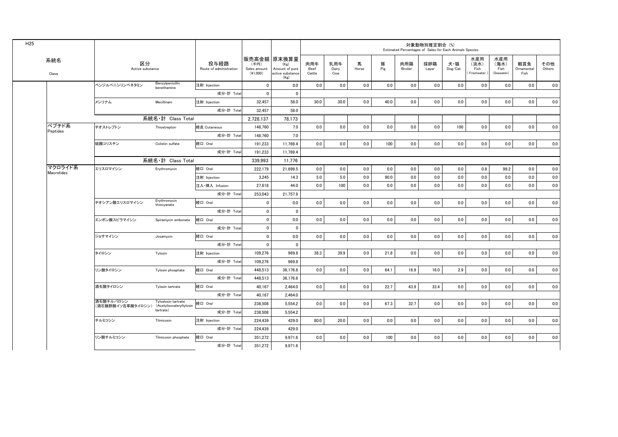| H <sub>25</sub> |                       |                                |                                                 |                                 |                                    |                                                                   |                       |                     |            |          |                | 対象動物別推定割合(%) | Estimated Percentages of Sales for Each Animals Species |                                   |                                   |                           |               |
|-----------------|-----------------------|--------------------------------|-------------------------------------------------|---------------------------------|------------------------------------|-------------------------------------------------------------------|-----------------------|---------------------|------------|----------|----------------|--------------|---------------------------------------------------------|-----------------------------------|-----------------------------------|---------------------------|---------------|
|                 | 系統名<br>Class          | 区分<br>Active substance         |                                                 | 投与経路<br>Route of administration | (千円)<br>Sales amount<br>$(*1,000)$ | 販売高金額 原末換算量<br>(Kg)<br>Amount of pure<br>active substance<br>(Kg) | 肉用牛<br>Beef<br>Cattle | 乳用牛<br>Dairy<br>Cow | 馬<br>Horse | 豚<br>Pig | 肉用鶏<br>Broiler | 採卵鶏<br>Layer | 犬・猫<br>Dog/Cat                                          | 水産用<br>(淡水)<br>Fish<br>Freshwater | 水産用<br>(海水)<br>Fish<br>(Seawater) | 観賞魚<br>Ornamental<br>Fish | その他<br>Others |
|                 |                       | ベンジルペニシリンベネタミン                 | Benzylpenicillin<br>benethamine                 | 注射 Injection                    | $\mathbf 0$                        | 0.0                                                               | 0.0                   | 0.0                 | 0.0        | 0.0      | 0.0            | 0.0          | 0.0                                                     | 0.0                               | 0.0                               | 0.0                       | 0.0           |
|                 |                       |                                |                                                 | 成分·計 Total                      | $\mathbf{0}$                       | $\mathbf{0}$                                                      |                       |                     |            |          |                |              |                                                         |                                   |                                   |                           |               |
|                 |                       | メシリナム                          | Mecillinam                                      | 注射 Injection                    | 32,457                             | 58.0                                                              | 30.0                  | 30.0                | 0.0        | 40.0     | 0.0            | 0.0          | 0.0                                                     | 0.0                               | $0.0\,$                           | 0.0                       | 0.0           |
|                 |                       |                                |                                                 | 成分·計 Total                      | 32.457                             | 58.0                                                              |                       |                     |            |          |                |              |                                                         |                                   |                                   |                           |               |
|                 |                       |                                | 系統名·計 Class Total                               |                                 | 2,728,137                          | 78,173                                                            |                       |                     |            |          |                |              |                                                         |                                   |                                   |                           |               |
|                 | ペプチド系<br>Peptides     | チオストレプトン                       | Thiostrepton                                    | 経皮 Cutaneous                    | 148.760                            | 7.0                                                               | 0.0                   | 0.0                 | 0.0        | 0.0      | 0.0            | 0.0          | 100                                                     | 0.0                               | 0.0                               | 0.0                       | 0.0           |
|                 |                       |                                |                                                 | 成分·計 Total                      | 148,760                            | 7.0                                                               |                       |                     |            |          |                |              |                                                         |                                   |                                   |                           |               |
|                 |                       | 硫酸コリスチン                        | Colistin sulfate                                | 経口 Oral                         | 191.233                            | 11.769.4                                                          | 0.0                   | 0.0                 | 0.0        | 100      | 0.0            | 0.0          | 0.0                                                     | 0.0                               | 0.0                               | 0.0                       | 0.0           |
|                 |                       |                                |                                                 | 成分·計 Total                      | 191,233                            | 11,769.4                                                          |                       |                     |            |          |                |              |                                                         |                                   |                                   |                           |               |
|                 |                       |                                | 系統名·計 Class Total                               |                                 | 339,993                            | 11,776                                                            |                       |                     |            |          |                |              |                                                         |                                   |                                   |                           |               |
|                 | マクロライド系<br>Macrolides | エリスロマイシン                       | Erythromycin                                    | 経口 Oral                         | 222,179                            | 21.699.5                                                          | 0.0                   | 0.0                 | 0.0        | 0.0      | 0.0            | 0.0          | 0.0                                                     | 0.8                               | 99.2                              | 0.0                       | 0.0           |
|                 |                       |                                |                                                 | 注射 Injection                    | 3.245                              | 14.3                                                              | 5.0                   | 5.0                 | 0.0        | 90.0     | 0.0            | 0.0          | 0.0                                                     | 0.0                               | 0.0                               | 0.0                       | 0.0           |
|                 |                       |                                |                                                 | 注入·挿入 Infusion                  | 27.618                             | 44.0                                                              | 0.0                   | 100                 | 0.0        | 0.0      | 0.0            | 0.0          | 0.0                                                     | 0.0                               | 0.0                               | 0.0                       | 0.0           |
|                 |                       |                                |                                                 | 成分·計 Total                      | 253.043                            | 21.757.9                                                          |                       |                     |            |          |                |              |                                                         |                                   |                                   |                           |               |
|                 |                       | チオシアン酸エリスロマイシン                 | Erythromycin<br>thiocyanate                     | 経口 Oral                         | $\mathbf 0$                        | 0.0                                                               | 0.0                   | 0.0                 | 0.0        | 0.0      | 0.0            | 0.0          | 0.0                                                     | 0.0                               | 0.0                               | 0.0                       | 0.0           |
|                 |                       |                                |                                                 | 成分·計 Total                      | $\mathbf 0$                        | $\mathbf{0}$                                                      |                       |                     |            |          |                |              |                                                         |                                   |                                   |                           |               |
|                 |                       | エンボン酸スピラマイシン                   | Spiramycin embonate                             | 経口 Oral                         | $\mathbf 0$                        | 0.0                                                               | 0.0                   | 0.0                 | 0.0        | 0.0      | 0.0            | $0.0\,$      | $0.0\,$                                                 | $0.0\,$                           | $0.0\,$                           | 0.0                       | 0.0           |
|                 |                       |                                |                                                 | 成分·計 Total                      | $\mathbf 0$                        | $\mathbf{0}$                                                      |                       |                     |            |          |                |              |                                                         |                                   |                                   |                           |               |
|                 |                       | ジョサマイシン                        | Josamycin                                       | 経口 Oral                         | $\mathbf 0$                        | 0.0                                                               | 0.0                   | 0.0                 | 0.0        | 0.0      | 0.0            | 0.0          | 0.0                                                     | 0.0                               | 0.0                               | 0.0                       | 0.0           |
|                 |                       |                                |                                                 | 成分·計 Total                      | $\mathbf{0}$                       | $\Omega$                                                          |                       |                     |            |          |                |              |                                                         |                                   |                                   |                           |               |
|                 |                       | タイロシン                          | Tylosin                                         | 注射 Injection                    | 109,276                            | 969.8                                                             | 38.3                  | 39.9                | 0.0        | 21.8     | 0.0            | 0.0          | 0.0                                                     | 0.0                               | 0.0                               | 0.0                       | 0.0           |
|                 |                       |                                |                                                 | 成分·計 Total                      | 109,276                            | 969.8                                                             |                       |                     |            |          |                |              |                                                         |                                   |                                   |                           |               |
|                 |                       | リン酸タイロシン                       | Tylosin phosphate                               | 経口 Oral                         | 448,513                            | 36,176.8                                                          | 0.0                   | 0.0                 | 0.0        | 64.1     | 16.9           | 16.0         | 2.9                                                     | 0.0                               | 0.0                               | 0.0                       | 0.0           |
|                 |                       |                                |                                                 | 成分·計 Total                      | 448,513                            | 36.176.8                                                          |                       |                     |            |          |                |              |                                                         |                                   |                                   |                           |               |
|                 |                       | 酒石酸タイロシン                       | Tylosin tartrate                                | 経口 Oral                         | 40.167                             | 2.464.0                                                           | 0.0                   | 0.0                 | 0.0        | 22.7     | 43.9           | 33.4         | 0.0                                                     | 0.0                               | 0.0                               | 0.0                       | 0.0           |
|                 |                       |                                |                                                 | 成分·計 Total                      | 40.167                             | 2.464.0                                                           |                       |                     |            |          |                |              |                                                         |                                   |                                   |                           |               |
|                 |                       | 酒石酸チルバロシン<br>(酒石酸酢酸イソ吉草酸タイロシン) | Tylvalosin tartrate<br>(Acetylisovaleryltylosin | 経口 Oral                         | 238,508                            | 5,554.2                                                           | 0.0                   | 0.0                 | 0.0        | 67.3     | 32.7           | 0.0          | 0.0                                                     | 0.0                               | 0.0                               | 0.0                       | 0.0           |
|                 |                       |                                | tartrate)                                       | 成分·計 Total                      | 238,508                            | 5.554.2                                                           |                       |                     |            |          |                |              |                                                         |                                   |                                   |                           |               |
|                 |                       | チルミコシン                         | Tilmicosin                                      | 注射 Injection                    | 224,439                            | 429.0                                                             | 80.0                  | 20.0                | 0.0        | 0.0      | 0.0            | 0.0          | 0.0                                                     | 0.0                               | 0.0                               | 0.0                       | 0.0           |
|                 |                       |                                |                                                 | 成分·計 Total                      | 224,439                            | 429.0                                                             |                       |                     |            |          |                |              |                                                         |                                   |                                   |                           |               |
|                 |                       | リン酸チルミコシン                      | Tilmicosin phosphate                            | 経口 Oral                         | 351,272                            | 9,971.6                                                           | 0.0                   | 0.0                 | 0.0        | 100      | 0.0            | 0.0          | 0.0                                                     | 0.0                               | 0.0                               | 0.0                       | 0.0           |
|                 |                       |                                |                                                 | 成分·計 Total                      | 351,272                            | 9,971.6                                                           |                       |                     |            |          |                |              |                                                         |                                   |                                   |                           |               |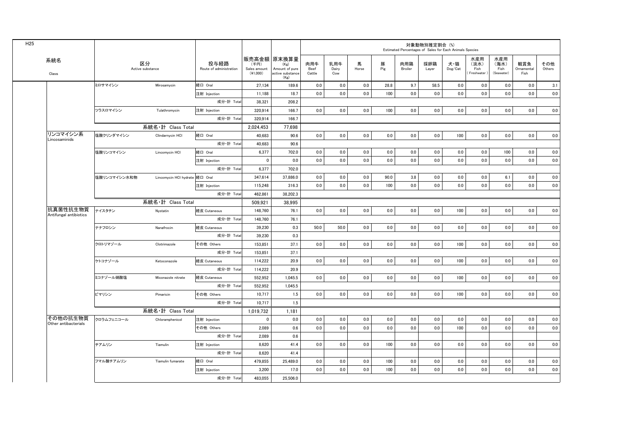| H <sub>25</sub>           |              |                                |                                 |                                    |                                                                     |                       |                     |            |          | Estimated Percentages of Sales for Each Animals Species | 対象動物別推定割合 (%) |                |                                   |                                   |                           |               |
|---------------------------|--------------|--------------------------------|---------------------------------|------------------------------------|---------------------------------------------------------------------|-----------------------|---------------------|------------|----------|---------------------------------------------------------|---------------|----------------|-----------------------------------|-----------------------------------|---------------------------|---------------|
| 系統名<br>Class              |              | 区分<br>Active substance         | 投与経路<br>Route of administration | (千円)<br>Sales amount<br>$(*1,000)$ | 販売高金額   原末換算量<br>(Kg)<br>Amount of pure<br>active substance<br>(Kg) | 肉用牛<br>Beef<br>Cattle | 乳用牛<br>Dairy<br>Cow | 馬<br>Horse | 豚<br>Pig | 肉用鶏<br>Broiler                                          | 採卵鶏<br>Layer  | 犬・猫<br>Dog/Cat | 水産用<br>(淡水)<br>Fish<br>Freshwater | 水産用<br>(海水)<br>Fish<br>(Seawater) | 観賞魚<br>Ornamental<br>Fish | その他<br>Others |
|                           | ミロサマイシン      | Mirosamycin                    | 経口 Oral                         | 27,134                             | 189.6                                                               | 0.0                   | 0.0                 | 0.0        | 28.8     | 9.7                                                     | 58.5          | $0.0\,$        | 0.0                               | 0.0                               | 0.0                       | 3.1           |
|                           |              |                                | 注射 Injection                    | 11.188                             | 18.7                                                                | 0.0                   | 0.0                 | 0.0        | 100      | 0.0                                                     | 0.0           | 0.0            | 0.0                               | 0.0                               | 0.0                       | 0.0           |
|                           |              |                                | 成分·計 Total                      | 38.321                             | 208.2                                                               |                       |                     |            |          |                                                         |               |                |                                   |                                   |                           |               |
|                           | ツラスロマイシン     | Tulathromycin                  | 注射 Injection                    | 320,914                            | 166.7                                                               | 0.0                   | 0.0                 | 0.0        | 100      | 0.0                                                     | 0.0           | $0.0\,$        | 0.0                               | 0.0                               | 0.0                       | 0.0           |
|                           |              |                                | 成分·計 Total                      | 320,914                            | 166.7                                                               |                       |                     |            |          |                                                         |               |                |                                   |                                   |                           |               |
|                           |              | 系統名·計 Class Total              |                                 | 2,024,453                          | 77,698                                                              |                       |                     |            |          |                                                         |               |                |                                   |                                   |                           |               |
| リンコマイシン系<br>Lincosaminids | 塩酸クリンダマイシン   | Clindarnycin HCI               | 経口 Oral                         | 40.683                             | 90.6                                                                | 0.0                   | 0.0                 | 0.0        | 0.0      | 0.0                                                     | 0.0           | 100            | 0.0                               | 0.0                               | 0.0                       | 0.0           |
|                           |              |                                | 成分·計 Total                      | 40.683                             | 90.6                                                                |                       |                     |            |          |                                                         |               |                |                                   |                                   |                           |               |
|                           | 塩酸リンコマイシン    | Lincomycin HCI                 | 経口 Oral                         | 6,377                              | 702.0                                                               | 0.0                   | 0.0                 | 0.0        | 0.0      | 0.0                                                     | 0.0           | 0.0            | 0.0                               | 100                               | 0.0                       | 0.0           |
|                           |              |                                | 注射 Injection                    | $\mathbf 0$                        | 0.0                                                                 | 0.0                   | 0.0                 | 0.0        | 0.0      | 0.0                                                     | 0.0           | 0.0            | 0.0                               | 0.0                               | 0.0                       | 0.0           |
|                           |              |                                | 成分·計 Total                      | 6.377                              | 702.0                                                               |                       |                     |            |          |                                                         |               |                |                                   |                                   |                           |               |
|                           | 塩酸リンコマイシン水和物 | Lincomycin HCI hydrate 経口 Oral |                                 | 347,614                            | 37,886.0                                                            | 0.0                   | 0.0                 | 0.0        | 90.0     | 3.8                                                     | 0.0           | 0.0            | 0.0                               | 6.1                               | 0.0                       | 0.0           |
|                           |              |                                | 注射 Injection                    | 115,248                            | 316.3                                                               | 0.0                   | 0.0                 | 0.0        | 100      | 0.0                                                     | 0.0           | 0.0            | 0.0                               | 0.0                               | 0.0                       | 0.0           |
|                           |              |                                | 成分·計 Total                      | 462,861                            | 38,202.3                                                            |                       |                     |            |          |                                                         |               |                |                                   |                                   |                           |               |
|                           |              | 系統名·計 Class Total              |                                 | 509,921                            | 38,995                                                              |                       |                     |            |          |                                                         |               |                |                                   |                                   |                           |               |
| 抗真菌性抗生物質                  | ナイスタチン       | Nystatin                       | 経皮 Cutaneous                    | 148,760                            | 76.1                                                                | 0.0                   | 0.0                 | 0.0        | 0.0      | 0.0                                                     | 0.0           | 100            | 0.0                               | 0.0                               | 0.0                       | 0.0           |
| Antifungal antibiotics    |              |                                | 成分·計 Total                      | 148,760                            | 76.1                                                                |                       |                     |            |          |                                                         |               |                |                                   |                                   |                           |               |
|                           | ナナフロシン       | Nanafrocin                     | 経皮 Cutaneous                    | 39.230                             | 0.3                                                                 | 50.0                  | 50.0                | 0.0        | 0.0      | 0.0                                                     | 0.0           | 0.0            | 0.0                               | 0.0                               | 0.0                       | 0.0           |
|                           |              |                                | 成分 計 Total                      | 39,230                             | 0.3                                                                 |                       |                     |            |          |                                                         |               |                |                                   |                                   |                           |               |
|                           | クロトリマゾール     | Clotrimazole                   | その他 Others                      | 153,851                            | 37.1                                                                | 0.0                   | 0.0                 | 0.0        | 0.0      | 0.0                                                     | 0.0           | 100            | 0.0                               | 0.0                               | 0.0                       | 0.0           |
|                           |              |                                | 成分·計 Total                      | 153.851                            | 37.1                                                                |                       |                     |            |          |                                                         |               |                |                                   |                                   |                           |               |
|                           | ケトコナゾール      | Ketoconazole                   | 経皮 Cutaneous                    | 114.222                            | 20.9                                                                | 0.0                   | 0.0                 | 0.0        | 0.0      | 0.0                                                     | 0.0           | 100            | 0.0                               | 0.0                               | 0.0                       | 0.0           |
|                           |              |                                | 成分·計 Total                      | 114,222                            | 20.9                                                                |                       |                     |            |          |                                                         |               |                |                                   |                                   |                           |               |
|                           | ミコナゾール硝酸塩    | Miconazole nitrate             | 経皮 Cutaneous                    | 552.952                            | 1.045.5                                                             | 0.0                   | 0.0                 | 0.0        | 0.0      | 0.0                                                     | 0.0           | 100            | 0.0                               | 0.0                               | 0.0                       | 0.0           |
|                           |              |                                | 成分·計 Total                      | 552,952                            | 1,045.5                                                             |                       |                     |            |          |                                                         |               |                |                                   |                                   |                           |               |
|                           | ピマリシン        | Pimaricin                      | その他 Others                      | 10.717                             | 1.5                                                                 | 0.0                   | 0.0                 | 0.0        | 0.0      | 0.0                                                     | 0.0           | 100            | 0.0                               | 0.0                               | 0.0                       | 0.0           |
|                           |              |                                | 成分·計 Total                      | 10,717                             | 1.5                                                                 |                       |                     |            |          |                                                         |               |                |                                   |                                   |                           |               |
|                           |              | 系統名·計 Class Total              |                                 | 1,019,732                          | 1,181                                                               |                       |                     |            |          |                                                         |               |                |                                   |                                   |                           |               |
| その他の抗生物質                  | クロラムフェニコール   | Chloramphenicol                | 注射 Injection                    | $\mathbf 0$                        | 0.0                                                                 | 0.0                   | 0.0                 | 0.0        | 0.0      | 0.0                                                     | 0.0           | 0.0            | 0.0                               | 0.0                               | 0.0                       | 0.0           |
| Other antibacterials      |              |                                | その他 Others                      | 2.089                              | 0.6                                                                 | 0.0                   | 0.0                 | 0.0        | 0.0      | 0.0                                                     | 0.0           | 100            | 0.0                               | 0.0                               | 0.0                       | 0.0           |
|                           |              |                                | 成分·計 Total                      | 2.089                              | 0.6                                                                 |                       |                     |            |          |                                                         |               |                |                                   |                                   |                           |               |
|                           | チアムリン        | Tiamulin                       | 注射 Injection                    | 8.620                              | 41.4                                                                | 0.0                   | 0.0                 | 0.0        | 100      | 0.0                                                     | 0.0           | 0.0            | 0.0                               | 0.0                               | 0.0                       | 0.0           |
|                           |              |                                | 成分·計 Total                      | 8,620                              | 41.4                                                                |                       |                     |            |          |                                                         |               |                |                                   |                                   |                           |               |
|                           | フマル酸チアムリン    | Tiamulin fumarate              | 経口 Oral                         | 479.855                            | 25,489.0                                                            | 0.0                   | 0.0                 | 0.0        | 100      | 0.0                                                     | 0.0           | 0.0            | 0.0                               | 0.0                               | 0.0                       | 0.0           |
|                           |              |                                | 注射 Injection                    | 3,200                              | 17.0                                                                | 0.0                   | 0.0                 | 0.0        | 100      | 0.0                                                     | 0.0           | 0.0            | 0.0                               | 0.0                               | 0.0                       | 0.0           |
|                           |              |                                | 成分·計 Total                      | 483,055                            | 25,506.0                                                            |                       |                     |            |          |                                                         |               |                |                                   |                                   |                           |               |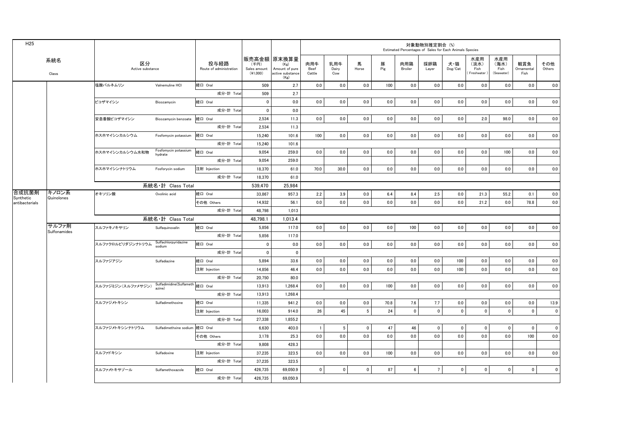| H <sub>25</sub>             |                         |                        |                                           |                                 |                                    |                                                                   |                       |                     |                 |          |                | 対象動物別推定割合 (%) | Estimated Percentages of Sales for Each Animals Species |                                   |                                   |                           |                |
|-----------------------------|-------------------------|------------------------|-------------------------------------------|---------------------------------|------------------------------------|-------------------------------------------------------------------|-----------------------|---------------------|-----------------|----------|----------------|---------------|---------------------------------------------------------|-----------------------------------|-----------------------------------|---------------------------|----------------|
|                             | 系統名<br>$\mathsf{Class}$ | 区分<br>Active substance |                                           | 投与経路<br>Route of administration | (千円)<br>Sales amount<br>$(*1,000)$ | 販売高金額 原末換算量<br>(Kg)<br>Amount of pure<br>active substance<br>(Kg) | 肉用牛<br>Beef<br>Cattle | 乳用牛<br>Dairy<br>Cow | 馬<br>Horse      | 豚<br>Pig | 肉用鶏<br>Broiler | 採卵鶏<br>Layer  | 犬・猫<br>Dog/Cat                                          | 水産用<br>(淡水)<br>Fish<br>Freshwater | 水産用<br>(海水)<br>Fish<br>(Seawater) | 観賞魚<br>Ornamental<br>Fish | その他<br>Others  |
|                             |                         | 塩酸バルネムリン               | Valnemuline HCI                           | 経口 Oral                         | 509                                | 2.7                                                               | 0.0                   | 0.0                 | 0.0             | 100      | 0.0            | 0.0           | 0.0                                                     | 0.0                               | 0.0                               | 0.0                       | 0.0            |
|                             |                         |                        |                                           | 成分·計 Total                      | 509                                | 2.7                                                               |                       |                     |                 |          |                |               |                                                         |                                   |                                   |                           |                |
|                             |                         | ビコザマイシン                | Bicozamycin                               | 経口 Oral                         | $\overline{0}$                     | 0.0                                                               | 0.0                   | 0.0                 | 0.0             | 0.0      | 0.0            | 0.0           | 0.0                                                     | 0.0                               | 0.0                               | 0.0                       | 0.0            |
|                             |                         |                        |                                           | 成分·計 Tota                       | $\mathbf 0$                        | 0.0                                                               |                       |                     |                 |          |                |               |                                                         |                                   |                                   |                           |                |
|                             |                         | 安息香酸ビコザマイシン            | Bicozamycin benzoate                      | 経口 Oral                         | 2,534                              | 11.3                                                              | 0.0                   | 0.0                 | 0.0             | 0.0      | 0.0            | 0.0           | 0.0                                                     | 2.0                               | 98.0                              | 0.0                       | 0.0            |
|                             |                         |                        |                                           | 成分 計 Total                      | 2,534                              | 11.3                                                              |                       |                     |                 |          |                |               |                                                         |                                   |                                   |                           |                |
|                             |                         | ホスホマイシンカルシウム           | Fosfomycin potassium                      | 経口 Oral                         | 15,240                             | 101.6                                                             | 100                   | 0.0                 | 0.0             | 0.0      | 0.0            | 0.0           | 0.0                                                     | 0.0                               | 0.0                               | 0.0                       | 0.0            |
|                             |                         |                        |                                           | 成分 計 Total                      | 15,240                             | 101.6                                                             |                       |                     |                 |          |                |               |                                                         |                                   |                                   |                           |                |
|                             |                         | ホスホマイシンカルシウム水和物        | Fosfomycin potassium<br>hydrate           | 経口 Oral                         | 9,054                              | 259.0                                                             | 0.0                   | 0.0                 | 0.0             | 0.0      | 0.0            | 0.0           | 0.0                                                     | 0.0                               | 100                               | 0.0                       | 0.0            |
|                             |                         |                        |                                           | 成分·計 Total                      | 9,054                              | 259.0                                                             |                       |                     |                 |          |                |               |                                                         |                                   |                                   |                           |                |
|                             |                         | ホスホマイシンナトリウム           | Fosforycin sodium                         | 注射 Injection                    | 18,370                             | 61.0                                                              | 70.0                  | 30.0                | 0.0             | 0.0      | 0.0            | 0.0           | 0.0                                                     | 0.0                               | 0.0                               | 0.0                       | 0.0            |
|                             |                         |                        |                                           | 成分·計 Total                      | 18.370                             | 61.0                                                              |                       |                     |                 |          |                |               |                                                         |                                   |                                   |                           |                |
|                             |                         |                        | 系統名·計 Class Total                         |                                 | 539,470                            | 25,984                                                            |                       |                     |                 |          |                |               |                                                         |                                   |                                   |                           |                |
| 合成抗菌剤                       | キノロン系<br>Quinolones     | オキソリン酸                 | Oxolinic acid                             | 経口 Oral                         | 33,867                             | 957.3                                                             | 2.2                   | 3.9                 | 0.0             | 6.4      | 8.4            | 2.5           | 0.0                                                     | 21.3                              | 55.2                              | 0.1                       | 0.0            |
| Synthetic<br>antibacterials |                         |                        |                                           | その他 Others                      | 14.932                             | 56.1                                                              | 0.0                   | 0.0                 | 0.0             | 0.0      | 0.0            | 0.0           | 0.0                                                     | 21.2                              | 0.0                               | 78.8                      | 0.0            |
|                             |                         |                        |                                           | 成分·計 Tota                       | 48,798                             | 1,013                                                             |                       |                     |                 |          |                |               |                                                         |                                   |                                   |                           |                |
|                             |                         |                        | 系統名·計 Class Total                         |                                 | 48.798.1                           | 1.013.4                                                           |                       |                     |                 |          |                |               |                                                         |                                   |                                   |                           |                |
|                             | サルファ剤<br>Sulfonamides   | スルファキノキサリン             | Sulfaquinoxalin                           | 経口 Oral                         | 5,856                              | 117.0                                                             | 0.0                   | 0.0                 | 0.0             | 0.0      | 100            | 0.0           | 0.0                                                     | 0.0                               | 0.0                               | 0.0                       | 0.0            |
|                             |                         |                        |                                           | 成分·計 Total                      | 5,856                              | 117.0                                                             |                       |                     |                 |          |                |               |                                                         |                                   |                                   |                           |                |
|                             |                         | スルファクロルピリダジンナトリウム      | Sulfachlorpyridazine<br>sodium            | 経口 Oral                         | $\overline{0}$                     | 0.0                                                               | 0.0                   | 0.0                 | 0.0             | 0.0      | 0.0            | 0.0           | 0.0                                                     | 0.0                               | 0.0                               | 0.0                       | 0.0            |
|                             |                         |                        |                                           | 成分·計 Total                      | $\overline{0}$                     | $\mathbf 0$                                                       |                       |                     |                 |          |                |               |                                                         |                                   |                                   |                           |                |
|                             |                         | スルファジアジン               | Sulfadiazine                              | 経口 Oral                         | 5,894                              | 33.6                                                              | 0.0                   | $0.0\,$             | 0.0             | $0.0\,$  | 0.0            | 0.0           | 100                                                     | 0.0                               | 0.0                               | 0.0                       | 0.0            |
|                             |                         |                        |                                           | 注射 Injection                    | 14,856                             | 46.4                                                              | 0.0                   | 0.0                 | 0.0             | 0.0      | 0.0            | 0.0           | 100                                                     | 0.0                               | 0.0                               | 0.0                       | 0.0            |
|                             |                         |                        |                                           | 成分·計 Tota                       | 20.750                             | 80.0                                                              |                       |                     |                 |          |                |               |                                                         |                                   |                                   |                           |                |
|                             |                         | スルファジミジン(スルファメサジン)     | Sulfadimidine(Sulfameth 経口 Oral<br>azine) |                                 | 13,913                             | 1,268.4                                                           | 0.0                   | 0.0                 | 0.0             | 100      | 0.0            | 0.0           | 0.0                                                     | 0.0                               | 0.0                               | 0.0                       | 0.0            |
|                             |                         |                        |                                           | 成分 計 Total                      | 13.913                             | 1,268.4                                                           |                       |                     |                 |          |                |               |                                                         |                                   |                                   |                           |                |
|                             |                         | スルファジメトキシン             | Sulfadimethoxine                          | 経口 Oral                         | 11,335                             | 941.2                                                             | 0.0                   | 0.0                 | 0.0             | 70.8     | 7.6            | 7.7           | 0.0                                                     | 0.0                               | 0.0                               | 0.0                       | 13.9           |
|                             |                         |                        |                                           | 注射 Injection                    | 16.003                             | 914.0                                                             | 26                    | 45                  | $5\overline{5}$ | 24       | $\mathbf 0$    | $\mathbf 0$   | $\mathbf{0}$                                            | $\mathbf 0$                       | $\mathbf 0$                       | $\mathbf 0$               | $\circ$        |
|                             |                         |                        |                                           | 成分·計 Total                      | 27,338                             | 1,855.2                                                           |                       |                     |                 |          |                |               |                                                         |                                   |                                   |                           |                |
|                             |                         | スルファジメトキシンナトリウム        | Sulfadimethxine sodium 経口 Oral            |                                 | 6,630                              | 403.0                                                             | $\overline{1}$        | $5\phantom{.0}$     | $\mathbf 0$     | 47       | 46             | $\mathbf 0$   | $\mathbf 0$                                             | $\pmb{0}$                         | $\mathbf 0$                       | $\pmb{0}$                 | $\overline{0}$ |
|                             |                         |                        |                                           | その他 Others                      | 3,178                              | 25.3                                                              | 0.0                   | 0.0                 | 0.0             | 0.0      | 0.0            | 0.0           | 0.0                                                     | 0.0                               | 0.0                               | 100                       | 0.0            |
|                             |                         |                        |                                           | 成分·計 Tota                       | 9.808                              | 428.3                                                             |                       |                     |                 |          |                |               |                                                         |                                   |                                   |                           |                |
|                             |                         | スルファドキシン               | Sulfadoxine                               | 注射 Injection                    | 37,235                             | 323.5                                                             | 0.0                   | 0.0                 | $0.0\,$         | 100      | 0.0            | 0.0           | 0.0                                                     | 0.0                               | 0.0                               | 0.0                       | 0.0            |
|                             |                         |                        |                                           | 成分·計 Total                      | 37,235                             | 323.5                                                             |                       |                     |                 |          |                |               |                                                         |                                   |                                   |                           |                |
|                             |                         | スルファメトキサゾール            | Sulfamethoxazole                          | 経口 Oral                         | 426.735                            | 69.050.9                                                          | $\mathbf 0$           | $\mathbf 0$         | $\mathbf 0$     | 87       | $6^{\circ}$    | $7^{\circ}$   | $\mathbf 0$                                             | $\mathbf 0$                       | $\mathbf 0$                       | $\pmb{0}$                 | $\overline{0}$ |
|                             |                         |                        |                                           | 成分·計 Total                      | 426,735                            | 69.050.9                                                          |                       |                     |                 |          |                |               |                                                         |                                   |                                   |                           |                |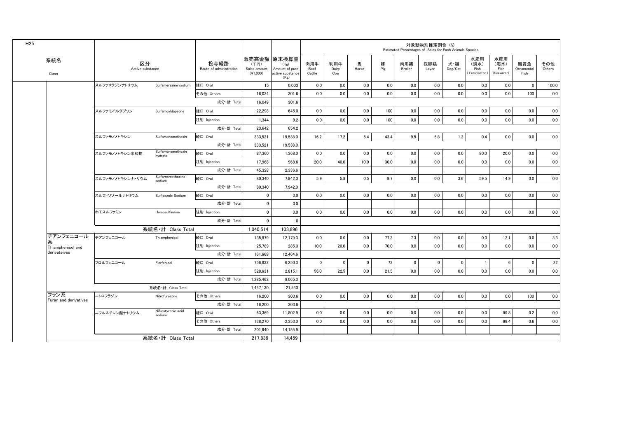|                               |                        |                              |                                 |                                    |                                                                   |                       |                     |             |          | Estimated Percentages of Sales for Each Animals Species | 対象動物別推定割合 (%) |                |                                    |                                   |                           |               |
|-------------------------------|------------------------|------------------------------|---------------------------------|------------------------------------|-------------------------------------------------------------------|-----------------------|---------------------|-------------|----------|---------------------------------------------------------|---------------|----------------|------------------------------------|-----------------------------------|---------------------------|---------------|
| 系統名<br>Class                  | 区分<br>Active substance |                              | 投与経路<br>Route of administration | (千円)<br>Sales amount<br>$(*1,000)$ | 販売高金額 原末換算量<br>(Kg)<br>Amount of pure<br>active substance<br>(Kg) | 肉用牛<br>Beef<br>Cattle | 乳用牛<br>Dairy<br>Cow | 馬<br>Horse  | 豚<br>Pig | 肉用鶏<br>Broiler                                          | 採卵鶏<br>Layer  | 犬・猫<br>Dog/Cat | 水産用<br>(淡水)<br>Fish<br>Freshwater) | 水産用<br>(海水)<br>Fish<br>(Seawater) | 観賞魚<br>Ornamental<br>Fish | その他<br>Others |
|                               | スルファメラジンナトリウム          | Sulfamerazine sodium         | 経口 Oral                         | 15                                 | 0.003                                                             | 0.0                   | 0.0                 | 0.0         | 0.0      | 0.0                                                     | 0.0           | 0.0            | 0.0                                | 0.0                               | $\mathbf 0$               | 100.0         |
|                               |                        |                              | その他 Others                      | 16.034                             | 301.6                                                             | 0.0                   | 0.0                 | 0.0         | 0.0      | 0.0                                                     | 0.0           | 0.0            | 0.0                                | 0.0                               | 100                       | 0.0           |
|                               |                        |                              | 成分·計 Total                      | 16,049                             | 301.6                                                             |                       |                     |             |          |                                                         |               |                |                                    |                                   |                           |               |
|                               | スルファモイルダプソン            | SulfamoyIdapsone             | 経口 Oral                         | 22,298                             | 645.0                                                             | 0.0                   | 0.0                 | 0.0         | 100      | 0.0                                                     | 0.0           | 0.0            | 0.0                                | 0.0                               | 0.0                       | 0.0           |
|                               |                        |                              | 注射 Injection                    | 1,344                              | 9.2                                                               | 0.0                   | 0.0                 | 0.0         | 100      | 0.0                                                     | 0.0           | 0.0            | 0.0                                | 0.0                               | 0.0                       | 0.0           |
|                               |                        |                              | 成分·計 Total                      | 23.642                             | 654.2                                                             |                       |                     |             |          |                                                         |               |                |                                    |                                   |                           |               |
|                               | スルファモノメトキシン            | Sulfamonomethoxin            | 経口 Oral                         | 333,521                            | 19,538.0                                                          | 16.2                  | 17.2                | 5.4         | 43.4     | 9.5                                                     | 6.8           | 1.2            | 0.4                                | 0.0                               | 0.0                       | 0.0           |
|                               |                        |                              | 成分·計 Total                      | 333.521                            | 19.538.0                                                          |                       |                     |             |          |                                                         |               |                |                                    |                                   |                           |               |
|                               | スルファモノメトキシン水和物         | Sulfamonomethoxin<br>hydrate | 経口 Oral                         | 27,360                             | 1,368.0                                                           | 0.0                   | 0.0                 | 0.0         | 0.0      | 0.0                                                     | 0.0           | 0.0            | 80.0                               | 20.0                              | 0.0                       | 0.0           |
|                               |                        |                              | 注射 Injection                    | 17.968                             | 968.6                                                             | 20.0                  | 40.0                | 10.0        | 30.0     | 0.0                                                     | 0.0           | 0.0            | 0.0                                | 0.0                               | 0.0                       | 0.0           |
|                               |                        |                              | 成分·計 Total                      | 45.328                             | 2.336.6                                                           |                       |                     |             |          |                                                         |               |                |                                    |                                   |                           |               |
|                               | スルファモノメトキシンナトリウム       | Sulfarnomethoxine<br>sodium  | 経口 Oral                         | 80,340                             | 7.942.0                                                           | 5.9                   | 5.9                 | 0.5         | 9.7      | 0.0                                                     | 0.0           | 3.6            | 59.5                               | 14.9                              | 0.0                       | 0.0           |
|                               |                        |                              | 成分·計 Total                      | 80,340                             | 7,942.0                                                           |                       |                     |             |          |                                                         |               |                |                                    |                                   |                           |               |
|                               | スルフィソゾールナトリウム          | Sulfisozole Sodium           | 経口 Oral                         | $\mathbf 0$                        | 0.0                                                               | 0.0                   | 0.0                 | 0.0         | 0.0      | 0.0                                                     | 0.0           | 0.0            | 0.0                                | 0.0                               | 0.0                       | 0.0           |
|                               |                        |                              | 成分·計 Total                      | $\mathbf 0$                        | 0.0                                                               |                       |                     |             |          |                                                         |               |                |                                    |                                   |                           |               |
|                               | ホモスルファミン               | Homosulfamine                | 注射 Injection                    | $\mathbf 0$                        | 0.0                                                               | 0.0                   | 0.0                 | 0.0         | 0.0      | 0.0                                                     | 0.0           | 0.0            | 0.0                                | 0.0                               | 0.0                       | 0.0           |
|                               |                        |                              | 成分 計 Total                      | $\mathbf 0$                        | $\mathbf 0$                                                       |                       |                     |             |          |                                                         |               |                |                                    |                                   |                           |               |
|                               |                        | 系統名·計 Class Total            |                                 | 1,040,514                          | 103.896                                                           |                       |                     |             |          |                                                         |               |                |                                    |                                   |                           |               |
| チアンフェニコール<br>糸                | チアンフェニコール              | Thiamphenicol                | 経口 Oral                         | 135,879                            | 12.179.3                                                          | 0.0                   | 0.0                 | 0.0         | 77.3     | 7.3                                                     | 0.0           | 0.0            | 0.0                                | 12.1                              | 0.0                       | 3.3           |
| Thiamphenicol and             |                        |                              | 注射 Injection                    | 25,789                             | 285.3                                                             | 10.0                  | 20.0                | 0.0         | 70.0     | 0.0                                                     | 0.0           | 0.0            | 0.0                                | 0.0                               | 0.0                       | 0.0           |
| derivateives                  |                        |                              | 成分·計 Total                      | 161.668                            | 12.464.6                                                          |                       |                     |             |          |                                                         |               |                |                                    |                                   |                           |               |
|                               | フロルフェニコール              | Florfenicol                  | 経口 Oral                         | 756,832                            | 6,250.3                                                           | $\mathbf{0}$          | $\mathbf 0$         | $\mathbf 0$ | 72       | $\mathbf 0$                                             | $\pmb{0}$     | $\mathbf{0}$   | $\overline{1}$                     | 6                                 | $\mathbf 0$               | 22            |
|                               |                        |                              | 注射 Injection                    | 528,631                            | 2,815.1                                                           | 56.0                  | 22.5                | 0.0         | 21.5     | 0.0                                                     | 0.0           | 0.0            | 0.0                                | 0.0                               | 0.0                       | 0.0           |
|                               |                        |                              | 成分 計 Total                      | 1.285.462                          | 9.065.3                                                           |                       |                     |             |          |                                                         |               |                |                                    |                                   |                           |               |
|                               |                        | 系統名·計 Class Total            |                                 | 1,447,130                          | 21,530                                                            |                       |                     |             |          |                                                         |               |                |                                    |                                   |                           |               |
| フラン系<br>Furan and derivatives | ニトロフラゾン                | Nitrofurazone                | その他 Others                      | 16.200                             | 303.6                                                             | 0.0                   | 0.0                 | 0.0         | 0.0      | 0.0                                                     | 0.0           | 0.0            | 0.0                                | 0.0                               | 100                       | 0.0           |
|                               |                        |                              | 成分·計 Total                      | 16,200                             | 303.6                                                             |                       |                     |             |          |                                                         |               |                |                                    |                                   |                           |               |
|                               | ニフルスチレン酸ナトリウム          | Nifurstyrenic acid<br>sodium | 経口 Oral                         | 63,369                             | 11.802.9                                                          | 0.0                   | 0.0                 | 0.0         | 0.0      | 0.0                                                     | 0.0           | 0.0            | 0.0                                | 99.8                              | 0.2                       | 0.0           |
|                               |                        |                              | その他 Others                      | 138,270                            | 2.353.0                                                           | 0.0                   | 0.0                 | 0.0         | 0.0      | 0.0                                                     | 0.0           | 0.0            | 0.0                                | 99.4                              | 0.6                       | 0.0           |
|                               |                        |                              | 成分·計 Total                      | 201,640                            | 14,155.9                                                          |                       |                     |             |          |                                                         |               |                |                                    |                                   |                           |               |
|                               | 系統名・計 Class Total      |                              |                                 | 217,839                            | 14,459                                                            |                       |                     |             |          |                                                         |               |                |                                    |                                   |                           |               |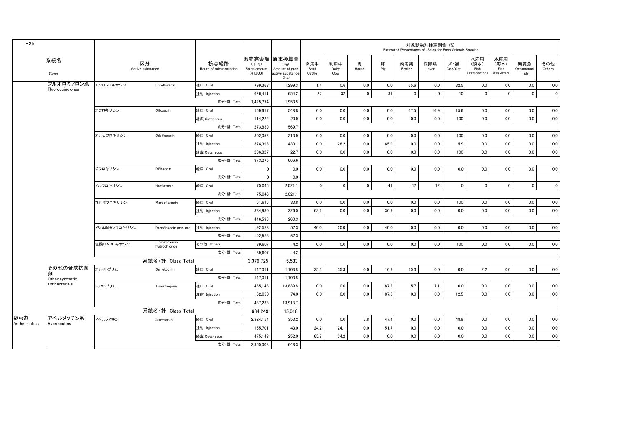| H <sub>25</sub>      |                         |              |                               |                                 |                                    |                                                                   |                       |                     |             |          | Estimated Percentages of Sales for Each Animals Species | 対象動物別推定割合 (%) |                                    |                                   |                                   |                           |                |
|----------------------|-------------------------|--------------|-------------------------------|---------------------------------|------------------------------------|-------------------------------------------------------------------|-----------------------|---------------------|-------------|----------|---------------------------------------------------------|---------------|------------------------------------|-----------------------------------|-----------------------------------|---------------------------|----------------|
|                      | 系統名<br>Class            |              | 区分<br>Active substance        | 投与経路<br>Route of administration | (千円)<br>Sales amount<br>$(*1.000)$ | 販売高金額 原末換算量<br>(Kg)<br>Amount of pure<br>active substance<br>(Kg) | 肉用牛<br>Beef<br>Cattle | 乳用牛<br>Dairy<br>Cow | 馬<br>Horse  | 豚<br>Pig | 肉用鶏<br>Broiler                                          | 採卵鶏<br>Layer  | 犬・猫<br>$\mathsf{Dog}/\mathsf{Cat}$ | 水産用<br>(淡水)<br>Fish<br>Freshwater | 水産用<br>(海水)<br>Fish<br>(Seawater) | 観賞魚<br>Ornamental<br>Fish | その他<br>Others  |
|                      | フルオロキノロン系               | エンロフロキサシン    | Enrofloxacin                  | 経口 Oral                         | 799.363                            | 1.299.3                                                           | 1.4                   | 0.6                 | 0.0         | 0.0      | 65.6                                                    | 0.0           | 32.5                               | 0.0                               | 0.0                               | 0.0                       | 0.0            |
|                      | Fluoroquinolones        |              |                               | 注射 Injection                    | 626,411                            | 654.2                                                             | 27                    | 32                  | $\mathbf 0$ | 31       | $\mathbf 0$                                             | $\mathbf 0$   | 10 <sup>10</sup>                   | $\mathbf 0$                       | $\mathbf{0}$                      | $\pmb{0}$                 | $\overline{0}$ |
|                      |                         |              |                               | 成分·計 Total                      | 1,425,774                          | 1.953.5                                                           |                       |                     |             |          |                                                         |               |                                    |                                   |                                   |                           |                |
|                      |                         | オフロキサシン      | Ofloxacin                     | 経口 Oral                         | 159,617                            | 548.8                                                             | 0.0                   | 0.0                 | 0.0         | 0.0      | 67.5                                                    | 16.9          | 15.6                               | 0.0                               | 0.0                               | 0.0                       | 0.0            |
|                      |                         |              |                               | 経皮 Cutaneous                    | 114,222                            | 20.9                                                              | 0.0                   | 0.0                 | 0.0         | 0.0      | 0.0                                                     | 0.0           | 100                                | 0.0                               | 0.0                               | 0.0                       | 0.0            |
|                      |                         |              |                               | 成分·計 Total                      | 273,839                            | 569.7                                                             |                       |                     |             |          |                                                         |               |                                    |                                   |                                   |                           |                |
|                      |                         | オルビフロキサシン    | Orbifloxacin                  | 経口 Oral                         | 302,055                            | 213.9                                                             | 0.0                   | 0.0                 | 0.0         | 0.0      | 0.0                                                     | 0.0           | 100                                | 0.0                               | 0.0                               | 0.0                       | 0.0            |
|                      |                         |              |                               | 注射 Injection                    | 374,393                            | 430.1                                                             | 0.0                   | 28.2                | 0.0         | 65.9     | 0.0                                                     | 0.0           | 5.9                                | 0.0                               | 0.0                               | 0.0                       | 0.0            |
|                      |                         |              |                               | 経皮 Cutaneous                    | 296,827                            | 22.7                                                              | 0.0                   | 0.0                 | 0.0         | 0.0      | 0.0                                                     | 0.0           | 100                                | 0.0                               | 0.0                               | 0.0                       | 0.0            |
|                      |                         |              |                               | 成分·計 Total                      | 973,275                            | 666.6                                                             |                       |                     |             |          |                                                         |               |                                    |                                   |                                   |                           |                |
|                      |                         | ジフロキサシン      | Difloxacin                    | 経口 Oral                         | $\mathbf{0}$                       | 0.0                                                               | 0.0                   | 0.0                 | 0.0         | 0.0      | 0.0                                                     | 0.0           | 0.0                                | 0.0                               | 0.0                               | 0.0                       | 0.0            |
|                      |                         |              |                               | 成分·計 Total                      | $\mathbf 0$                        | 0.0                                                               |                       |                     |             |          |                                                         |               |                                    |                                   |                                   |                           |                |
|                      |                         | ノルフロキサシン     | Norfloxacin                   | 経口 Oral                         | 75,046                             | 2,021.1                                                           | $\mathbf 0$           | $\mathbf 0$         | $\mathbf 0$ | 41       | 47                                                      | 12            | $\mathbf 0$                        | $\pmb{0}$                         | $\mathbf 0$                       | $\pmb{0}$                 | $\overline{0}$ |
|                      |                         |              |                               | 成分·計 Total                      | 75,046                             | 2.021.1                                                           |                       |                     |             |          |                                                         |               |                                    |                                   |                                   |                           |                |
|                      |                         | マルボフロキサシン    | Marbofloxacin                 | 経口 Oral                         | 61.616                             | 33.8                                                              | 0.0                   | 0.0                 | 0.0         | 0.0      | 0.0                                                     | 0.0           | 100                                | 0.0                               | 0.0                               | 0.0                       | 0.0            |
|                      |                         |              |                               | 注射 Injection                    | 384.980                            | 226.5                                                             | 63.1                  | 0.0                 | 0.0         | 36.9     | 0.0                                                     | 0.0           | 0.0                                | 0.0                               | 0.0                               | 0.0                       | 0.0            |
|                      |                         |              |                               | 成分·計 Total                      | 446.596                            | 260.3                                                             |                       |                     |             |          |                                                         |               |                                    |                                   |                                   |                           |                |
|                      |                         | メシル酸ダノフロキサシン | Danofloxacin mesilate         | 注射 Injection                    | 92.588                             | 57.3                                                              | 40.0                  | 20.0                | 0.0         | 40.0     | 0.0                                                     | 0.0           | 0.0                                | 0.0                               | 0.0                               | 0.0                       | 0.0            |
|                      |                         |              |                               | 成分·計 Total                      | 92,588                             | 57.3                                                              |                       |                     |             |          |                                                         |               |                                    |                                   |                                   |                           |                |
|                      |                         | 塩酸ロメフロキサシン   | Lomefloxacin<br>hydrochloride | その他 Others                      | 89,607                             | 4.2                                                               | 0.0                   | 0.0                 | 0.0         | 0.0      | 0.0                                                     | 0.0           | 100                                | 0.0                               | 0.0                               | 0.0                       | 0.0            |
|                      |                         |              |                               | 成分·計 Total                      | 89,607                             | 4.2                                                               |                       |                     |             |          |                                                         |               |                                    |                                   |                                   |                           |                |
|                      |                         |              | 系統名·計 Class Total             |                                 | 3,376,725                          | 5.533                                                             |                       |                     |             |          |                                                         |               |                                    |                                   |                                   |                           |                |
|                      | その他の合成抗菌                | オルメトプリム      | Ormetoprim                    | 経口 Oral                         | 147,011                            | 1,103.8                                                           | 35.3                  | 35.3                | 0.0         | 16.9     | 10.3                                                    | 0.0           | 0.0                                | 2.2                               | 0.0                               | 0.0                       | 0.0            |
|                      | Other synthetic         |              |                               | 成分·計 Total                      | 147,011                            | 1,103.8                                                           |                       |                     |             |          |                                                         |               |                                    |                                   |                                   |                           |                |
|                      | antibacterials          | トリメトプリム      | Trimethoprim                  | 経口 Oral                         | 435,148                            | 13,839.8                                                          | 0.0                   | 0.0                 | 0.0         | 87.2     | 5.7                                                     | 7.1           | 0.0                                | 0.0                               | 0.0                               | 0.0                       | 0.0            |
|                      |                         |              |                               | 注射 Injection                    | 52.090                             | 74.0                                                              | 0.0                   | 0.0                 | 0.0         | 87.5     | 0.0                                                     | 0.0           | 12.5                               | 0.0                               | 0.0                               | 0.0                       | 0.0            |
|                      |                         |              |                               | 成分·計 Total                      | 487,238                            | 13.913.7                                                          |                       |                     |             |          |                                                         |               |                                    |                                   |                                   |                           |                |
|                      |                         |              | 系統名·計 Class Total             |                                 | 634.249                            | 15.018                                                            |                       |                     |             |          |                                                         |               |                                    |                                   |                                   |                           |                |
| 駆虫剤<br>Anthelmintics | アベルメクチン系<br>Avermectins | イベルメクチン      | Ivermectin                    | 経口 Oral                         | 2,324,154                          | 353.2                                                             | 0.0                   | 0.0                 | 3.8         | 47.4     | 0.0                                                     | 0.0           | 48.8                               | 0.0                               | 0.0                               | 0.0                       | 0.0            |
|                      |                         |              |                               | 注射 Injection                    | 155,701                            | 43.0                                                              | 24.2                  | 24.1                | 0.0         | 51.7     | 0.0                                                     | 0.0           | 0.0                                | 0.0                               | 0.0                               | 0.0                       | 0.0            |
|                      |                         |              |                               | 経皮 Cutaneous                    | 475.148                            | 252.0                                                             | 65.8                  | 34.2                | 0.0         | 0.0      | 0.0                                                     | 0.0           | 0.0                                | 0.0                               | 0.0                               | 0.0                       | 0.0            |
|                      |                         |              |                               | 成分·計 Total                      | 2.955,003                          | 648.3                                                             |                       |                     |             |          |                                                         |               |                                    |                                   |                                   |                           |                |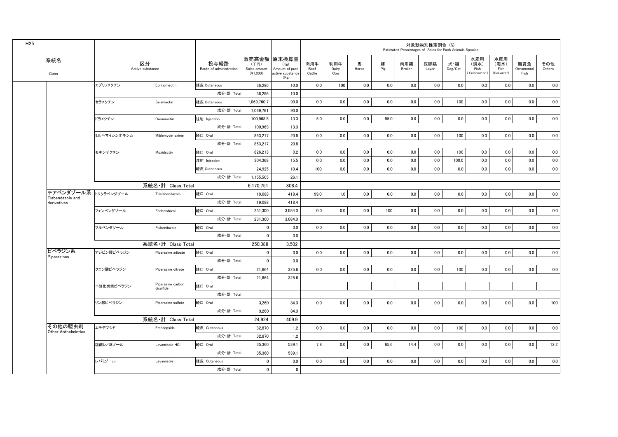| H <sub>25</sub>                       |             |                                |                                 |                                    |                                                                   |                       |                     |            |          | Estimated Percentages of Sales for Each Animals Species | 対象動物別推定割合 (%) |                |                                   |                                   |                           |               |
|---------------------------------------|-------------|--------------------------------|---------------------------------|------------------------------------|-------------------------------------------------------------------|-----------------------|---------------------|------------|----------|---------------------------------------------------------|---------------|----------------|-----------------------------------|-----------------------------------|---------------------------|---------------|
| 系統名<br>Class                          |             | 区分<br>Active substance         | 投与経路<br>Route of administration | (千円)<br>Sales amount<br>$(*1,000)$ | 販売高金額 原末換算量<br>(Kg)<br>Amount of pure<br>active substance<br>(Kg) | 肉用牛<br>Beef<br>Cattle | 乳用牛<br>Dairy<br>Cow | 馬<br>Horse | 豚<br>Pig | 肉用鶏<br>Broiler                                          | 採卵鶏<br>Layer  | 犬・猫<br>Dog/Cat | 水産用<br>(淡水)<br>Fish<br>Freshwater | 水産用<br>(海水)<br>Fish<br>(Seawater) | 観賞魚<br>Ornamental<br>Fish | その他<br>Others |
|                                       | エプリノメクチン    | Eprinomectin                   | 経皮 Cutaneous                    | 36.296                             | 10.0                                                              | 0.0                   | 100                 | 0.0        | 0.0      | 0.0                                                     | 0.0           | 0.0            | $0.0\,$                           | $0.0\,$                           | 0.0                       | 0.0           |
|                                       |             |                                | 成分·計 Total                      | 36.296                             | 10.0                                                              |                       |                     |            |          |                                                         |               |                |                                   |                                   |                           |               |
|                                       | セラメクチン      | Selamectin                     | 経皮 Cutaneous                    | 1,069,760.7                        | 90.0                                                              | 0.0                   | $0.0\,$             | $0.0\,$    | $0.0\,$  | $0.0\,$                                                 | $0.0\,$       | 100            | $0.0\,$                           | 0.0                               | 0.0                       | 0.0           |
|                                       |             |                                | 成分·計 Total                      | 1,069,761                          | 90.0                                                              |                       |                     |            |          |                                                         |               |                |                                   |                                   |                           |               |
|                                       | ドラメクチン      | Doramectin                     | 注射 Injection                    | 100,968.5                          | 13.3                                                              | 5.0                   | 0.0                 | 0.0        | 95.0     | 0.0                                                     | 0.0           | 0.0            | 0.0                               | 0.0                               | 0.0                       | 0.0           |
|                                       |             |                                | 成分·計 Total                      | 100,969                            | 13.3                                                              |                       |                     |            |          |                                                         |               |                |                                   |                                   |                           |               |
|                                       | ミルベマイシンオキシム | Miblemycin oxime               | 経口 Oral                         | 853,217                            | 20.8                                                              | 0.0                   | 0.0                 | 0.0        | 0.0      | 0.0                                                     | 0.0           | 100            | $0.0\,$                           | 0.0                               | 0.0                       | 0.0           |
|                                       |             |                                | 成分·計 Total                      | 853,217                            | 20.8                                                              |                       |                     |            |          |                                                         |               |                |                                   |                                   |                           |               |
|                                       | モキシデクチン     | Moxidectin                     | 経口 Oral                         | 826,213                            | 0.2                                                               | 0.0                   | 0.0                 | 0.0        | 0.0      | 0.0                                                     | 0.0           | 100            | 0.0                               | 0.0                               | 0.0                       | 0.0           |
|                                       |             |                                | 注射 Injection                    | 304,368                            | 15.5                                                              | 0.0                   | 0.0                 | 0.0        | 0.0      | 0.0                                                     | 0.0           | 100.0          | 0.0                               | 0.0                               | 0.0                       | 0.0           |
|                                       |             |                                | 経皮 Cutaneous                    | 24.925                             | 10.4                                                              | 100                   | 0.0                 | 0.0        | 0.0      | 0.0                                                     | 0.0           | 0.0            | 0.0                               | 0.0                               | 0.0                       | 0.0           |
|                                       |             |                                | 成分·計 Total                      | 1,155,505                          | 26.1                                                              |                       |                     |            |          |                                                         |               |                |                                   |                                   |                           |               |
|                                       |             | 系統名·計 Class Total              |                                 | 6,170,751                          | 808.4                                                             |                       |                     |            |          |                                                         |               |                |                                   |                                   |                           |               |
| チアベンダゾール系 トリクラベンダゾール                  |             | Triclabendazole                | 経口 Oral                         | 19,088                             | 418.4                                                             | 99.0                  | 1.0                 | 0.0        | 0.0      | 0.0                                                     | 0.0           | 0.0            | 0.0                               | 0.0                               | 0.0                       | 0.0           |
| Tiabendazole and<br>derivatives       |             |                                | 成分·計 Total                      | 19,088                             | 418.4                                                             |                       |                     |            |          |                                                         |               |                |                                   |                                   |                           |               |
|                                       | フェンベンダゾール   | Fenbendazol                    | 経口 Oral                         | 231,300                            | 3,084.0                                                           | 0.0                   | 0.0                 | 0.0        | 100      | 0.0                                                     | 0.0           | 0.0            | $0.0\,$                           | 0.0                               | 0.0                       | 0.0           |
|                                       |             |                                | 成分·計 Total                      | 231,300                            | 3,084.0                                                           |                       |                     |            |          |                                                         |               |                |                                   |                                   |                           |               |
|                                       | フルベンダゾール    | Flubendazole                   | 経口 Oral                         | $\mathbf 0$                        | 0.0                                                               | 0.0                   | 0.0                 | 0.0        | 0.0      | 0.0                                                     | 0.0           | 0.0            | 0.0                               | 0.0                               | 0.0                       | 0.0           |
|                                       |             |                                | 成分·計 Total                      | $\pmb{0}$                          | 0.0                                                               |                       |                     |            |          |                                                         |               |                |                                   |                                   |                           |               |
|                                       |             | 系統名・計 Class Total              |                                 | 250.388                            | 3,502                                                             |                       |                     |            |          |                                                         |               |                |                                   |                                   |                           |               |
| ピペラジン系<br>Piperazines                 | アジピン酸ピペラジン  | Piperazine adipate             | 経口 Oral                         | $\mathbf 0$                        | 0.0                                                               | 0.0                   | 0.0                 | 0.0        | 0.0      | 0.0                                                     | 0.0           | 0.0            | 0.0                               | 0.0                               | 0.0                       | 0.0           |
|                                       |             |                                | 成分·計 Total                      | $\mathbf 0$                        | 0.0                                                               |                       |                     |            |          |                                                         |               |                |                                   |                                   |                           |               |
|                                       | クエン酸ピペラジン   | Piperazine citrate             | 経口 Oral                         | 21.664                             | 325.6                                                             | 0.0                   | 0.0                 | 0.0        | 0.0      | 0.0                                                     | 0.0           | 100            | 0.0                               | 0.0                               | 0.0                       | 0.0           |
|                                       |             |                                | 成分·計 Total                      | 21,664                             | 325.6                                                             |                       |                     |            |          |                                                         |               |                |                                   |                                   |                           |               |
|                                       | ニ硫化炭素ピペラジン  | Piperazine carbon<br>disulfide | 経口 Oral                         |                                    |                                                                   |                       |                     |            |          |                                                         |               |                |                                   |                                   |                           |               |
|                                       |             |                                | 成分·計 Total                      |                                    |                                                                   |                       |                     |            |          |                                                         |               |                |                                   |                                   |                           |               |
|                                       | リン酸ピペラジン    | Piperazine sulfate             | 経口 Oral                         | 3.260                              | 84.3                                                              | 0.0                   | 0.0                 | 0.0        | 0.0      | 0.0                                                     | 0.0           | $0.0\,$        | 0.0                               | 0.0                               | 0.0                       | 100           |
|                                       |             |                                | 成分·計 Total                      | 3,260                              | 84.3                                                              |                       |                     |            |          |                                                         |               |                |                                   |                                   |                           |               |
|                                       |             | 系統名·計 Class Total              |                                 | 24.924                             | 409.9                                                             |                       |                     |            |          |                                                         |               |                |                                   |                                   |                           |               |
| その他の駆虫剤<br><b>Other Anthelmintics</b> | エモデプシド      | Emodepside                     | 経皮 Cutaneous                    | 32,870                             | 1.2                                                               | 0.0                   | 0.0                 | 0.0        | 0.0      | 0.0                                                     | 0.0           | 100            | 0.0                               | 0.0                               | 0.0                       | 0.0           |
|                                       |             |                                | 成分·計 Total                      | 32,870                             | 1.2                                                               |                       |                     |            |          |                                                         |               |                |                                   |                                   |                           |               |
|                                       | 塩酸レバミゾール    | Levamisole HCI                 | 経口 Oral                         | 35,360                             | 539.1                                                             | 7.8                   | 0.0                 | 0.0        | 65.6     | 14.4                                                    | 0.0           | 0.0            | 0.0                               | 0.0                               | 0.0                       | 12.2          |
|                                       |             |                                | 成分·計 Total                      | 35,360                             | 539.1                                                             |                       |                     |            |          |                                                         |               |                |                                   |                                   |                           |               |
|                                       | レバミゾール      | Levamisole                     | 経皮 Cutaneous                    | $\mathbf 0$                        | 0.0                                                               | 0.0                   | 0.0                 | 0.0        | 0.0      | 0.0                                                     | 0.0           | 0.0            | 0.0                               | 0.0                               | 0.0                       | 0.0           |
|                                       |             |                                | 成分·計 Total                      | $\mathbf 0$                        | $\mathbf 0$                                                       |                       |                     |            |          |                                                         |               |                |                                   |                                   |                           |               |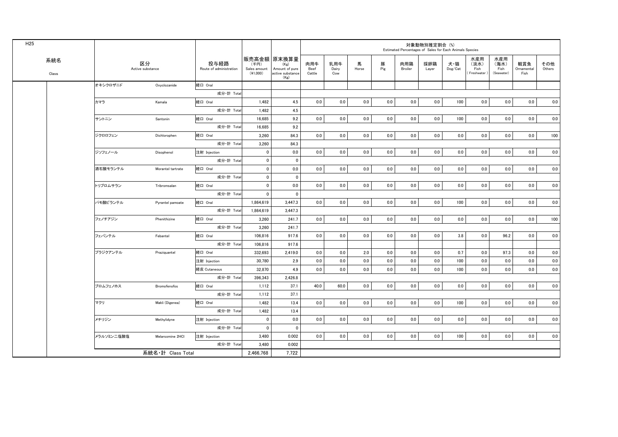| H <sub>25</sub> |              |            |                        |                                 |                                                   |                                                    |                       |                     |            |          | Estimated Percentages of Sales for Each Animals Species | 対象動物別推定割合(%) |                |                                   |                                   |                           |               |
|-----------------|--------------|------------|------------------------|---------------------------------|---------------------------------------------------|----------------------------------------------------|-----------------------|---------------------|------------|----------|---------------------------------------------------------|--------------|----------------|-----------------------------------|-----------------------------------|---------------------------|---------------|
|                 | 系統名<br>Class |            | 区分<br>Active substance | 投与経路<br>Route of administration | 販売高金額 原末換算量<br>(千円)<br>Sales amount<br>$(*1,000)$ | (Kg)<br>Amount of pure<br>active substance<br>(Kg) | 肉用牛<br>Beef<br>Cattle | 乳用牛<br>Dairy<br>Cow | 馬<br>Horse | 豚<br>Pig | 肉用鶏<br>Broiler                                          | 採卵鶏<br>Layer | 犬・猫<br>Dog/Cat | 水産用<br>(淡水)<br>Fish<br>Freshwater | 水産用<br>(海水)<br>Fish<br>(Seawater) | 観賞魚<br>Ornamental<br>Fish | その他<br>Others |
|                 |              | オキシクロザニド   | Oxyclozanide           | 経口 Oral                         |                                                   |                                                    |                       |                     |            |          |                                                         |              |                |                                   |                                   |                           |               |
|                 |              |            |                        | 成分·計 Tota                       |                                                   |                                                    |                       |                     |            |          |                                                         |              |                |                                   |                                   |                           |               |
|                 |              | カマラ        | Kamala                 | 経口 Oral                         | 1,482                                             | 4.5                                                | 0.0                   | 0.0                 | 0.0        | 0.0      | 0.0                                                     | 0.0          | 100            | 0.0                               | 0.0                               | 0.0                       | 0.0           |
|                 |              |            |                        | 成分·計 Tota                       | 1,482                                             | 4.5                                                |                       |                     |            |          |                                                         |              |                |                                   |                                   |                           |               |
|                 |              | サントニン      | Santonin               | 経口 Oral                         | 16,685                                            | 9.2                                                | 0.0                   | $0.0\,$             | $0.0\,$    | 0.0      | 0.0                                                     | 0.0          | 100            | 0.0                               | 0.0                               | 0.0                       | 0.0           |
|                 |              |            |                        | 成分·計 Total                      | 16,685                                            | 9.2                                                |                       |                     |            |          |                                                         |              |                |                                   |                                   |                           |               |
|                 |              | ジクロロフェン    | Dichlorophen           | 経口 Oral                         | 3,260                                             | 84.3                                               | 0.0                   | 0.0                 | 0.0        | 0.0      | 0.0                                                     | 0.0          | 0.0            | 0.0                               | 0.0                               | 0.0                       | 100           |
|                 |              |            |                        | 成分 計 Total                      | 3,260                                             | 84.3                                               |                       |                     |            |          |                                                         |              |                |                                   |                                   |                           |               |
|                 |              | ジソフェノール    | Disophenol             | 注射 Injection                    | $\mathbf 0$                                       | 0.0                                                | 0.0                   | 0.0                 | 0.0        | 0.0      | 0.0                                                     | 0.0          | 0.0            | 0.0                               | 0.0                               | 0.0                       | 0.0           |
|                 |              |            |                        | 成分·計 Total                      | $\pmb{0}$                                         | $\mathbf 0$                                        |                       |                     |            |          |                                                         |              |                |                                   |                                   |                           |               |
|                 |              | 酒石酸モランテル   | Morantel tartrate      | 経口 Oral                         | $\pmb{0}$                                         | 0.0                                                | 0.0                   | $0.0\,$             | 0.0        | 0.0      | 0.0                                                     | 0.0          | 0.0            | 0.0                               | 0.0                               | 0.0                       | 0.0           |
|                 |              |            |                        | 成分·計 Total                      | $\pmb{0}$                                         | $\mathbf 0$                                        |                       |                     |            |          |                                                         |              |                |                                   |                                   |                           |               |
|                 |              | トリブロムサラン   | Tribromsalan           | 経口 Oral                         | $\mathbf 0$                                       | 0.0                                                | 0.0                   | 0.0                 | 0.0        | 0.0      | 0.0                                                     | 0.0          | 0.0            | 0.0                               | 0.0                               | 0.0                       | 0.0           |
|                 |              |            |                        | 成分·計 Total                      | $\mathbf 0$                                       | $\mathbf 0$                                        |                       |                     |            |          |                                                         |              |                |                                   |                                   |                           |               |
|                 |              | パモ酸ピランテル   | Pyrantel pamoate       | 経口 Oral                         | 1,864,619                                         | 3,447.3                                            | 0.0                   | 0.0                 | $0.0\,$    | 0.0      | 0.0                                                     | 0.0          | 100            | 0.0                               | 0.0                               | 0.0                       | 0.0           |
|                 |              |            |                        | 成分·計 Tota                       | 1,864,619                                         | 3,447.3                                            |                       |                     |            |          |                                                         |              |                |                                   |                                   |                           |               |
|                 |              | フェノチアジン    | Phenithizine           | 経口 Oral                         | 3,260                                             | 241.7                                              | $0.0\,$               | $0.0\,$             | $0.0\,$    | 0.0      | 0.0                                                     | 0.0          | 0.0            | 0.0                               | 0.0                               | 0.0                       | 100           |
|                 |              |            |                        | 成分·計 Total                      | 3,260                                             | 241.7                                              |                       |                     |            |          |                                                         |              |                |                                   |                                   |                           |               |
|                 |              | フェバンテル     | Febantel               | 経口 Oral                         | 106,816                                           | 917.6                                              | 0.0                   | 0.0                 | 0.0        | 0.0      | 0.0                                                     | 0.0          | 3.8            | 0.0                               | 96.2                              | 0.0                       | $0.0\,$       |
|                 |              |            |                        | 成分·計 Total                      | 106,816                                           | 917.6                                              |                       |                     |            |          |                                                         |              |                |                                   |                                   |                           |               |
|                 |              | プラジクアンテル   | Praziguantel           | 経口 Oral                         | 332,693                                           | 2,419.0                                            | 0.0                   | 0.0                 | 2.0        | 0.0      | 0.0                                                     | 0.0          | 0.7            | 0.0                               | 97.3                              | 0.0                       | 0.0           |
|                 |              |            |                        | 注射 Injection                    | 30,780                                            | 2.9                                                | 0.0                   | 0.0                 | 0.0        | 0.0      | 0.0                                                     | 0.0          | 100            | 0.0                               | 0.0                               | 0.0                       | 0.0           |
|                 |              |            |                        | 経皮 Cutaneous                    | 32,870                                            | 4.9                                                | 0.0                   | 0.0                 | 0.0        | 0.0      | 0.0                                                     | 0.0          | 100            | 0.0                               | 0.0                               | 0.0                       | 0.0           |
|                 |              |            |                        | 成分·計 Tota                       | 396,343                                           | 2,426.8                                            |                       |                     |            |          |                                                         |              |                |                                   |                                   |                           |               |
|                 |              | ブロムフェノホス   | Bromofenofos           | 経口 Oral                         | 1,112                                             | 37.1                                               | 40.0                  | 60.0                | 0.0        | 0.0      | 0.0                                                     | 0.0          | 0.0            | 0.0                               | 0.0                               | 0.0                       | 0.0           |
|                 |              |            |                        | 成分·計 Tota                       | 1,112                                             | 37.1                                               |                       |                     |            |          |                                                         |              |                |                                   |                                   |                           |               |
|                 |              | マクリ        | Makli (Digenea)        | 経口 Oral                         | 1,482                                             | 13.4                                               | 0.0                   | 0.0                 | 0.0        | 0.0      | 0.0                                                     | 0.0          | 100            | 0.0                               | 0.0                               | 0.0                       | 0.0           |
|                 |              |            |                        | 成分·計 Total                      | 1,482                                             | 13.4                                               |                       |                     |            |          |                                                         |              |                |                                   |                                   |                           |               |
|                 |              | メチリジン      | Methylidyne            | 注射 Injection                    | $\mathbf 0$                                       | 0.0                                                | 0.0                   | 0.0                 | 0.0        | 0.0      | 0.0                                                     | 0.0          | 0.0            | 0.0                               | 0.0                               | 0.0                       | 0.0           |
|                 |              |            |                        | 成分·計 Total                      | $\mathbf 0$                                       | $\mathbf 0$                                        |                       |                     |            |          |                                                         |              |                |                                   |                                   |                           |               |
|                 |              | メラルソミン二塩酸塩 | Melarsomine 2HCl       | 注射 Injection                    | 3,480                                             | 0.002                                              | 0.0                   | 0.0                 | 0.0        | 0.0      | 0.0                                                     | 0.0          | 100            | 0.0                               | 0.0                               | 0.0                       | 0.0           |
|                 |              |            |                        | 成分·計 Total                      | 3,480                                             | 0.002                                              |                       |                     |            |          |                                                         |              |                |                                   |                                   |                           |               |
|                 |              |            | 系統名·計 Class Total      |                                 | 2,466,768                                         | 7,722                                              |                       |                     |            |          |                                                         |              |                |                                   |                                   |                           |               |